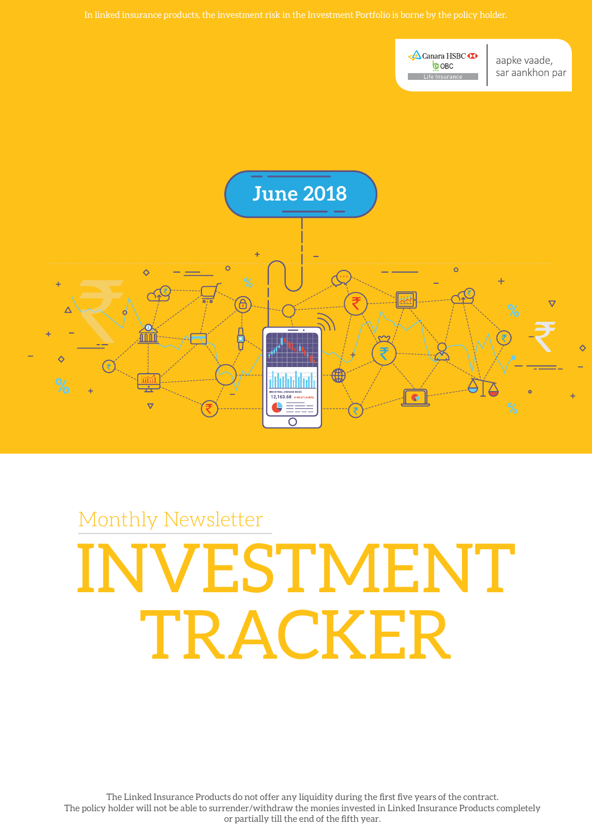**A** Canara HSBC **COBC** Life Insurance

aapke vaade, sar aankhon par



# Monthly Newsletter ESTMENT TRACKER

The Linked Insurance Products do not offer any liquidity during the first five years of the contract. The policy holder will not be able to surrender/withdraw the monies invested in Linked Insurance Products completely or partially till the end of the fifth year.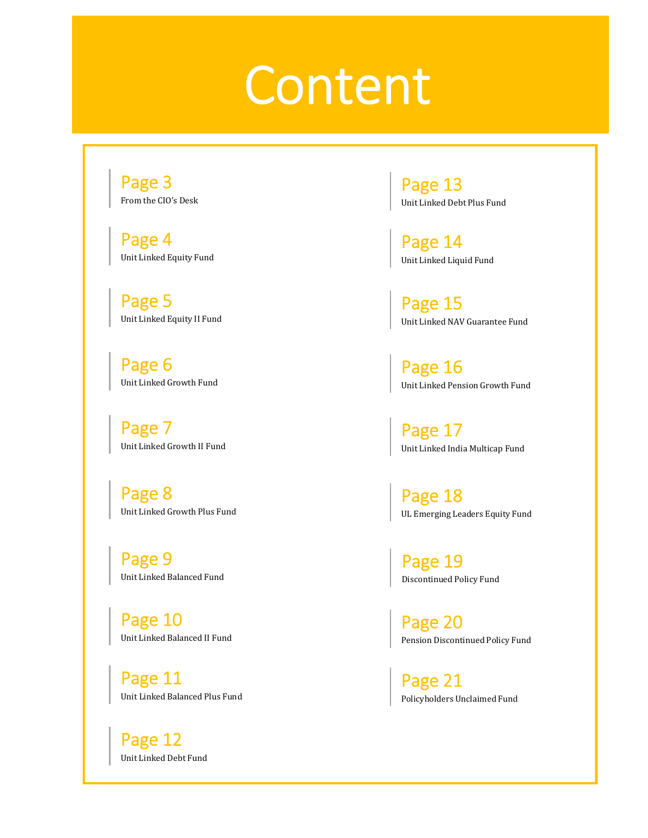

Page 3 From the CIO's Desk

Page 4 Unit Linked Equity Fund

Page 5 Unit Linked Equity II Fund

Page 6 Unit Linked Growth Fund

Page 7 Unit Linked Growth II Fund

Page 8 Unit Linked Growth Plus Fund

Page 9 Unit Linked Balanced Fund

Page 10 Unit Linked Balanced II Fund

Page 11 Unit Linked Balanced Plus Fund

Page 12 Unit Linked Debt Fund

Page 13 Unit Linked Debt Plus Fund

Page 14 Unit Linked Liquid Fund

Page 15 Unit Linked NAV Guarantee Fund

Page 16 Unit Linked Pension Growth Fund

Page 17 Unit Linked India Multicap Fund

Page 18 UL Emerging Leaders Equity Fund

Page 19 Discontinued Policy Fund

Page 20 Pension Discontinued Policy Fund

Page 21 Policyholders Unclaimed Fund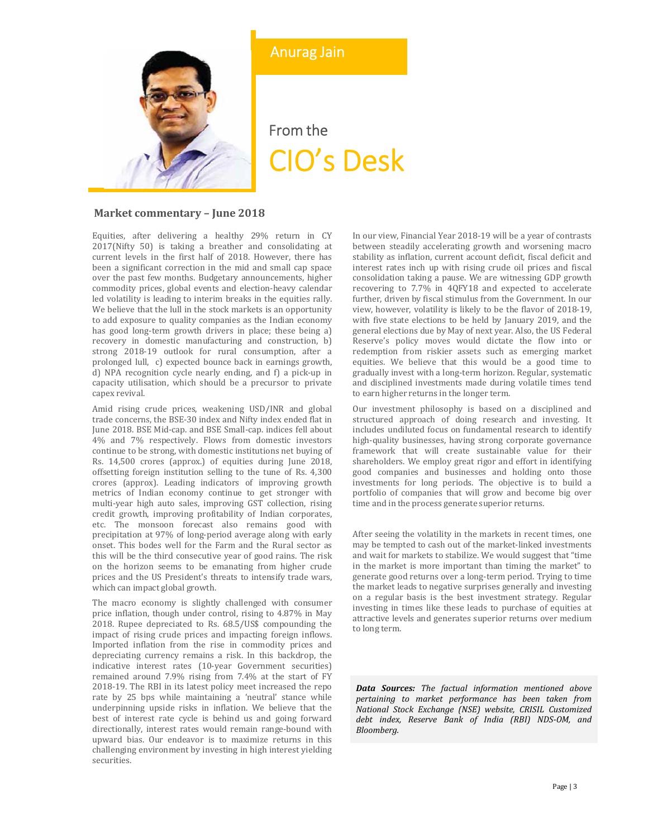

Anurag Jain

# From the CIO's Desk

## **Market commentary – June 2018**

Equities, after delivering a healthy 29% return in CY 2017(Nifty 50) is taking a breather and consolidating at current levels in the first half of 2018. However, there has been a significant correction in the mid and small cap space over the past few months. Budgetary announcements, higher commodity prices, global events and election‐heavy calendar led volatility is leading to interim breaks in the equities rally. We believe that the lull in the stock markets is an opportunity to add exposure to quality companies as the Indian economy has good long-term growth drivers in place; these being a) recovery in domestic manufacturing and construction, b) strong 2018‐19 outlook for rural consumption, after a prolonged lull, c) expected bounce back in earnings growth, d) NPA recognition cycle nearly ending, and f) a pick‐up in capacity utilisation, which should be a precursor to private capex revival.

Amid rising crude prices, weakening USD/INR and global trade concerns, the BSE‐30 index and Nifty index ended flat in June 2018. BSE Mid‐cap. and BSE Small‐cap. indices fell about 4% and 7% respectively. Flows from domestic investors continue to be strong, with domestic institutions net buying of Rs. 14,500 crores (approx.) of equities during June 2018, offsetting foreign institution selling to the tune of Rs. 4,300 crores (approx). Leading indicators of improving growth metrics of Indian economy continue to get stronger with multi‐year high auto sales, improving GST collection, rising credit growth, improving profitability of Indian corporates, etc. The monsoon forecast also remains good with precipitation at 97% of long‐period average along with early onset. This bodes well for the Farm and the Rural sector as this will be the third consecutive year of good rains. The risk on the horizon seems to be emanating from higher crude prices and the US President's threats to intensify trade wars, which can impact global growth.

The macro economy is slightly challenged with consumer price inflation, though under control, rising to 4.87% in May 2018. Rupee depreciated to Rs. 68.5/US\$ compounding the impact of rising crude prices and impacting foreign inflows. Imported inflation from the rise in commodity prices and depreciating currency remains a risk. In this backdrop, the indicative interest rates (10‐year Government securities) remained around 7.9% rising from 7.4% at the start of FY 2018‐19. The RBI in its latest policy meet increased the repo rate by 25 bps while maintaining a 'neutral' stance while underpinning upside risks in inflation. We believe that the best of interest rate cycle is behind us and going forward directionally, interest rates would remain range‐bound with upward bias. Our endeavor is to maximize returns in this challenging environment by investing in high interest yielding securities.

In our view, Financial Year 2018‐19 will be a year of contrasts between steadily accelerating growth and worsening macro stability as inflation, current account deficit, fiscal deficit and interest rates inch up with rising crude oil prices and fiscal consolidation taking a pause. We are witnessing GDP growth recovering to 7.7% in 4QFY18 and expected to accelerate further, driven by fiscal stimulus from the Government. In our view, however, volatility is likely to be the flavor of 2018‐19, with five state elections to be held by January 2019, and the general elections due by May of next year. Also, the US Federal Reserve's policy moves would dictate the flow into or redemption from riskier assets such as emerging market equities. We believe that this would be a good time to gradually invest with a long‐term horizon. Regular, systematic and disciplined investments made during volatile times tend to earn higher returns in the longer term.

Our investment philosophy is based on a disciplined and structured approach of doing research and investing. It includes undiluted focus on fundamental research to identify high-quality businesses, having strong corporate governance framework that will create sustainable value for their shareholders. We employ great rigor and effort in identifying good companies and businesses and holding onto those investments for long periods. The objective is to build a portfolio of companies that will grow and become big over time and in the process generate superior returns.

After seeing the volatility in the markets in recent times, one may be tempted to cash out of the market‐linked investments and wait for markets to stabilize. We would suggest that "time in the market is more important than timing the market" to generate good returns over a long‐term period. Trying to time the market leads to negative surprises generally and investing on a regular basis is the best investment strategy. Regular investing in times like these leads to purchase of equities at attractive levels and generates superior returns over medium to long term.

*Data Sources: The factual information mentioned above pertaining to market performance has been taken from National Stock Exchange (NSE) website, CRISIL Customized debt index, Reserve Bank of India (RBI) NDS‐OM, and Bloomberg.*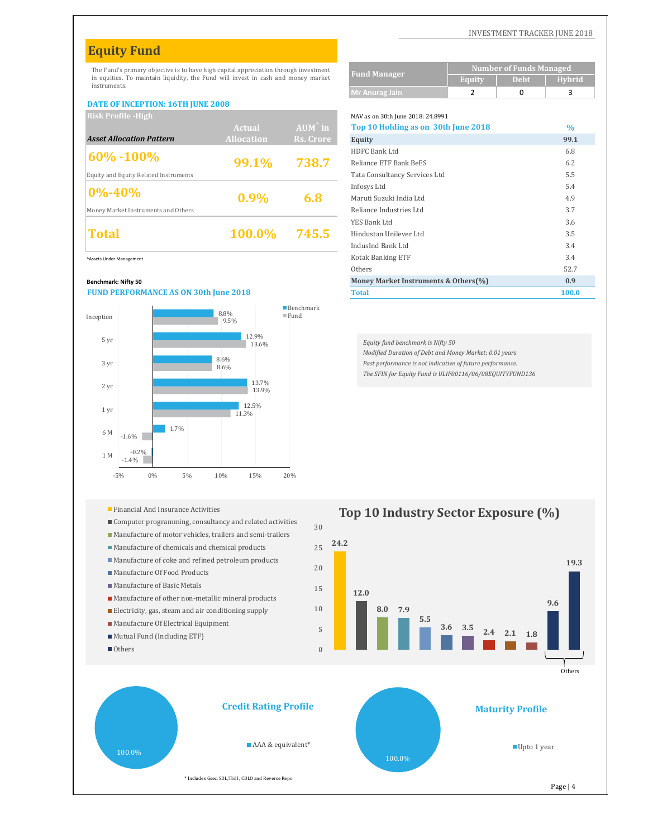# **Equity Fund**

#### **DATE OF INCEPTION: 16TH JUNE 2008**

| <b>Risk Profile -High</b>             |                   |                   | NAV as on 30th June 2018: 24.8991   |               |
|---------------------------------------|-------------------|-------------------|-------------------------------------|---------------|
|                                       | <b>Actual</b>     | $AUM^{\hat{}}$ in | Top 10 Holding as on 30th June 2018 | $\frac{0}{0}$ |
| <b>Asset Allocation Pattern</b>       | <b>Allocation</b> | Rs. Crore         | Equity                              | 99.           |
| $ 60\% - 100\%$                       |                   |                   | <b>HDFC Bank Ltd</b>                | 6.8           |
|                                       | 99.1%             | 738.7             | Reliance ETF Bank BeES              | 6.2           |
| Equity and Equity Related Instruments |                   |                   | Tata Consultancy Services Ltd       | 5.5           |
| $ 0\% - 40\% $                        |                   |                   | Infosys Ltd                         | 5.4           |
|                                       | $0.9\%$           | 6.8               | Maruti Suzuki India Ltd             | 4.9           |
| Money Market Instruments and Others   |                   |                   | Reliance Industries Ltd             | 3.7           |
|                                       |                   |                   | YES Bank Ltd                        | 3.6           |
| Total                                 | 100.0%            | 745.5             | Hindustan Unilever Ltd              | 3.5           |
|                                       |                   |                   | $L = L = L = L = L$ $L = L = L$     | $\Omega$      |

#### **FUND PERFORMANCE AS ON 30th June 2018**



- 
- $\blacksquare$  Computer programming, consultancy and related activities
- $\blacksquare$  Manufacture of motor vehicles, trailers and semi-trailers
- $\blacksquare$  Manufacture of chemicals and chemical products
- $\blacksquare$  Manufacture of coke and refined petroleum products
- $\blacksquare$  Manufacture Of Food Products
- Manufacture of Basic Metals
- $\blacksquare$  Manufacture of other non-metallic mineral products
- $\blacksquare$  Electricity, gas, steam and air conditioning supply
- Manufacture Of Electrical Equipment
- $Mutual Fund (Including ETF)$
- Others

#### INVESTMENT TRACKER JUNE 2018

| The Fund's primary objective is to have high capital appreciation through investment              |                   |                   | <b>Fund Manager</b>                  |                | <b>Number of Funds Managed</b> |               |
|---------------------------------------------------------------------------------------------------|-------------------|-------------------|--------------------------------------|----------------|--------------------------------|---------------|
| in equities. To maintain liquidity, the Fund will invest in cash and money market<br>instruments. |                   |                   |                                      | <b>Equity</b>  | <b>Debt</b>                    | <b>Hybrid</b> |
|                                                                                                   |                   |                   | <b>Mr Anurag Jain</b>                | $\overline{2}$ | $\mathbf 0$                    | 3             |
| DATE OF INCEPTION: 16TH JUNE 2008                                                                 |                   |                   |                                      |                |                                |               |
| <b>Risk Profile - High</b>                                                                        |                   |                   | NAV as on 30th June 2018: 24.8991    |                |                                |               |
|                                                                                                   | Actual            | $AUM^{\hat{}}$ in | Top 10 Holding as on 30th June 2018  |                |                                | $\frac{0}{0}$ |
| <b>Asset Allocation Pattern</b>                                                                   | <b>Allocation</b> | Rs. Crore         | Equity                               |                |                                | 99.1          |
|                                                                                                   |                   |                   | HDFC Bank Ltd                        |                |                                | 6.8           |
| 60% -100%                                                                                         | 99.1%             | 738.7             | Reliance ETF Bank BeES               |                |                                | 6.2           |
| <b>Equity and Equity Related Instruments</b>                                                      |                   |                   | Tata Consultancy Services Ltd        |                |                                | 5.5           |
|                                                                                                   |                   |                   | Infosys Ltd                          |                |                                | 5.4           |
| $0\% - 40\%$                                                                                      | $0.9\%$           | 6.8               | Maruti Suzuki India Ltd              |                |                                | 4.9           |
| Money Market Instruments and Others                                                               |                   |                   | Reliance Industries Ltd              |                |                                | 3.7           |
|                                                                                                   |                   |                   | YES Bank Ltd                         |                |                                | 3.6           |
| <b>Total</b>                                                                                      | 100.0%            | 745.5             | Hindustan Unilever Ltd               |                |                                | 3.5           |
|                                                                                                   |                   |                   | IndusInd Bank Ltd                    |                |                                | 3.4           |
| Assets Under Management                                                                           |                   |                   | Kotak Banking ETF                    |                |                                | 3.4           |
|                                                                                                   |                   |                   | Others                               |                |                                | 52.7          |
| Benchmark: Nifty 50                                                                               |                   |                   | Money Market Instruments & Others(%) |                |                                | 0.9           |
| <b>FUND PERFORMANCE AS ON 30th June 2018</b>                                                      |                   |                   | <b>Total</b>                         |                |                                | 100.0         |
|                                                                                                   |                   |                   |                                      |                |                                |               |

*Equity fund benchmark is Nifty 50*

*Modified Duration of Debt and Money Market: 0.01 years Past performance is not indicative of future performance. The SFIN for Equity Fund is ULIF00116/06/08EQUITYFUND136*

# **Top 10 Industry Sector Exposure**  $(\%)$

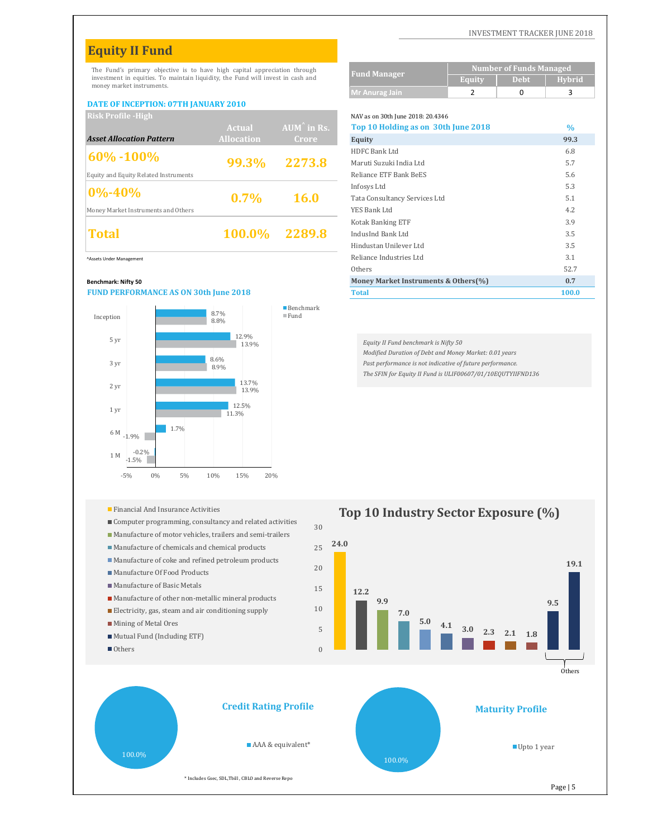# **Equity II Fund**

#### **DATE OF INCEPTION: 07TH JANUARY 2010**

|                   |                       | NAV as on 30th June 2018: 20.4346   |      |
|-------------------|-----------------------|-------------------------------------|------|
| Actual            | $AUM^{\hat{}}$ in Rs. | Top 10 Holding as on 30th June 2018 | $\%$ |
| <b>Allocation</b> | <b>Crore</b>          | Equity                              | 99.3 |
|                   |                       | HDFC Bank Ltd                       | 6.8  |
| 99.3%             | 2273.8                | Maruti Suzuki India Ltd             | 5.7  |
|                   |                       | Reliance ETF Bank BeES              | 5.6  |
|                   |                       | Infosys Ltd                         | 5.3  |
| $0.7\%$           | <b>16.0</b>           | Tata Consultancy Services Ltd       | 5.1  |
|                   |                       | YES Bank Ltd                        | 4.2  |
|                   |                       | Kotak Banking ETF                   | 3.9  |
| <b>100.0%</b>     | 2289.8                | IndusInd Bank Ltd                   | 3.5  |
|                   |                       |                                     |      |

#### **FUND PERFORMANCE AS ON 30th June 2018**



- 
- $\blacksquare$  Computer programming, consultancy and related activities
- $\blacksquare$  Manufacture of motor vehicles, trailers and semi-trailers
- $\blacksquare$  Manufacture of chemicals and chemical products
- $\blacksquare$  Manufacture of coke and refined petroleum products
- $\blacksquare$  Manufacture Of Food Products
- Manufacture of Basic Metals
- $\blacksquare$  Manufacture of other non-metallic mineral products
- $\blacksquare$  Electricity, gas, steam and air conditioning supply
- Mining of Metal Ores
- $Mutual Fund (Including ETF)$

100.0%

■ Others

#### INVESTMENT TRACKER JUNE 2018

| The Fund's primary objective is to have high capital appreciation through                                    |                   |                       |                                      |               | <b>Number of Funds Managed</b> |               |
|--------------------------------------------------------------------------------------------------------------|-------------------|-----------------------|--------------------------------------|---------------|--------------------------------|---------------|
| investment in equities. To maintain liquidity, the Fund will invest in cash and<br>money market instruments. |                   |                       | <b>Fund Manager</b>                  | <b>Equity</b> | <b>Debt</b>                    | Hybrid        |
|                                                                                                              |                   |                       | <b>Mr Anurag Jain</b>                | 2             | 0                              | 3             |
| <b>DATE OF INCEPTION: 07TH JANUARY 2010</b>                                                                  |                   |                       |                                      |               |                                |               |
| <b>Risk Profile - High</b>                                                                                   |                   |                       | NAV as on 30th June 2018: 20.4346    |               |                                |               |
|                                                                                                              | Actual            | $AUM^{\hat{}}$ in Rs. | Top 10 Holding as on 30th June 2018  |               |                                | $\frac{0}{0}$ |
| <b>Asset Allocation Pattern</b>                                                                              | <b>Allocation</b> | <b>Crore</b>          | Equity                               |               |                                | 99.3          |
| 60% -100%                                                                                                    |                   |                       | HDFC Bank Ltd                        |               |                                | 6.8           |
|                                                                                                              | 99.3%             | 2273.8                | Maruti Suzuki India Ltd              |               |                                | 5.7           |
| <b>Equity and Equity Related Instruments</b>                                                                 |                   |                       | Reliance ETF Bank BeES               |               |                                | 5.6           |
| $0\% - 40\%$                                                                                                 |                   |                       | Infosys Ltd                          |               |                                | 5.3           |
|                                                                                                              | $0.7\%$           | <b>16.0</b>           | Tata Consultancy Services Ltd        |               |                                | 5.1           |
| Money Market Instruments and Others                                                                          |                   |                       | YES Bank Ltd                         |               |                                | 4.2           |
|                                                                                                              |                   |                       | Kotak Banking ETF                    |               |                                | 3.9           |
| <b>Total</b>                                                                                                 | <b>100.0%</b>     | 2289.8                | IndusInd Bank Ltd                    |               |                                | 3.5           |
|                                                                                                              |                   |                       | Hindustan Unilever Ltd               |               |                                | 3.5           |
| Assets Under Management                                                                                      |                   |                       | Reliance Industries Ltd              |               |                                | 3.1           |
|                                                                                                              |                   |                       | Others                               |               |                                | 52.7          |
| Benchmark: Nifty 50                                                                                          |                   |                       | Money Market Instruments & Others(%) |               |                                | 0.7           |
| <b>FUND PERFORMANCE AS ON 30th June 2018</b>                                                                 |                   |                       | <b>Total</b>                         |               |                                | 100.0         |
|                                                                                                              |                   |                       |                                      |               |                                |               |

*Equity II Fund benchmark is Nifty 50 Modified Duration of Debt and Money Market: 0.01 years Past performance is not indicative of future performance. The SFIN for Equity II Fund is ULIF00607/01/10EQUTYIIFND136*



\* Includes Gsec, SDL,Tbill , CBLO and Reverse Repo

Page | 5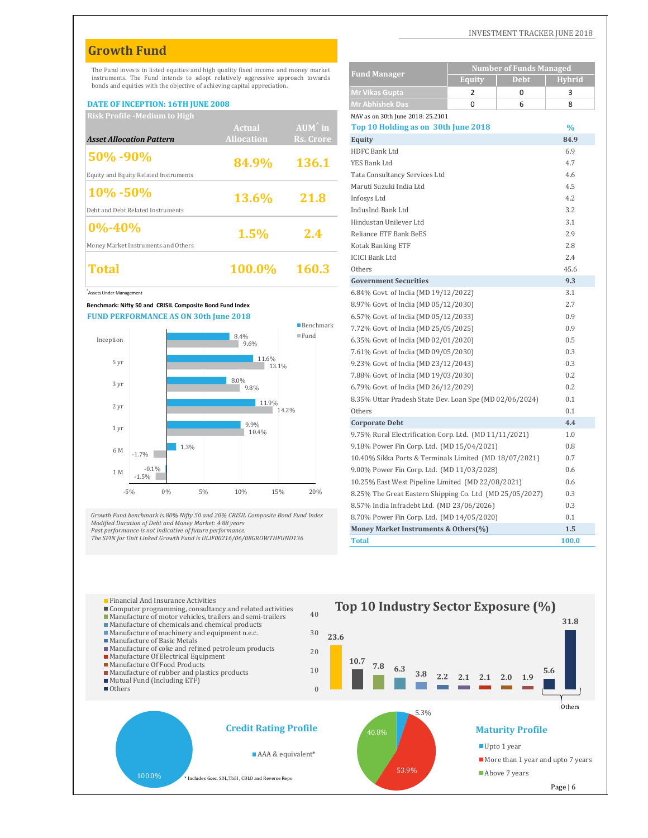# **Growth Fund**

#### **DATE OF INCEPTION: 16TH JUNE 2008**

| <b>Risk Profile -Medium to High</b>   |                   |                   | NAV as on 30th June 2018: 25.2101   |               |
|---------------------------------------|-------------------|-------------------|-------------------------------------|---------------|
|                                       | <b>Actual</b>     | $AUM^{\wedge}$ in | Top 10 Holding as on 30th June 2018 | $\frac{0}{0}$ |
| <b>Asset Allocation Pattern</b>       | <b>Allocation</b> | Rs. Crore         | Equity                              | 84.9          |
| 50% -90%                              |                   |                   | HDFC Bank Ltd                       | 6.9           |
|                                       | 84.9%             | <b>136.1</b>      | YES Bank Ltd                        | 4.7           |
| Equity and Equity Related Instruments |                   |                   | Tata Consultancy Services Ltd       | 4.6           |
|                                       |                   |                   | Maruti Suzuki India Ltd             | 4.5           |
| $10\% - 50\%$                         | <b>13.6%</b>      | 21.8              | Infosys Ltd                         | 4.2           |
| Debt and Debt Related Instruments     |                   |                   | IndusInd Bank Ltd                   | 3.2           |
| $ 0\% - 40\%$                         |                   |                   | Hindustan Unilever Ltd              | 3.1           |
|                                       | 1.5%              | 2.4               | Reliance ETF Bank BeES              | 2.9           |
| Money Market Instruments and Others   |                   |                   | Kotak Banking ETF                   | 2.8           |
|                                       |                   |                   | <b>ICICI Bank Ltd</b>               | 2.4           |
| Total                                 | 100.0%            | 160.3             | Others                              | 45.6          |
|                                       |                   |                   |                                     |               |



|                                                           |                                                                                                                                                                     |                          |                                                        | <b>Number of Funds Managed</b>                           |               |
|-----------------------------------------------------------|---------------------------------------------------------------------------------------------------------------------------------------------------------------------|--------------------------|--------------------------------------------------------|----------------------------------------------------------|---------------|
|                                                           | The Fund invests in listed equities and high quality fixed income and money market<br>instruments. The Fund intends to adopt relatively aggressive approach towards |                          | <b>Fund Manager</b>                                    | <b>Equity</b><br><b>Debt</b>                             | <b>Hybrid</b> |
|                                                           | bonds and equities with the objective of achieving capital appreciation.                                                                                            |                          | <b>Mr Vikas Gupta</b>                                  | $\overline{2}$<br>0                                      | 3             |
| DATE OF INCEPTION: 16TH JUNE 2008                         |                                                                                                                                                                     |                          | Mr Abhishek Das                                        | $\Omega$<br>6                                            | 8             |
| <b>Risk Profile -Medium to High</b>                       |                                                                                                                                                                     |                          | NAV as on 30th June 2018: 25.2101                      |                                                          |               |
|                                                           | <b>Actual</b>                                                                                                                                                       | AUM <sup>o</sup> in      | Top 10 Holding as on 30th June 2018                    |                                                          | $\frac{0}{0}$ |
| <b>Asset Allocation Pattern</b>                           | <b>Allocation</b>                                                                                                                                                   | <b>Rs. Crore</b>         | Equity                                                 |                                                          | 84.9          |
|                                                           |                                                                                                                                                                     |                          | HDFC Bank Ltd                                          |                                                          | 6.9           |
| 50% -90%                                                  | 84.9%                                                                                                                                                               | 136.1                    | <b>YES Bank Ltd</b>                                    |                                                          | 4.7           |
| Equity and Equity Related Instruments                     |                                                                                                                                                                     |                          | Tata Consultancy Services Ltd                          |                                                          | 4.6           |
|                                                           |                                                                                                                                                                     |                          | Maruti Suzuki India Ltd                                |                                                          | 4.5           |
| 10% -50%                                                  | 13.6%                                                                                                                                                               | 21.8                     | Infosys Ltd                                            |                                                          | 4.2           |
| Debt and Debt Related Instruments                         |                                                                                                                                                                     |                          | IndusInd Bank Ltd                                      |                                                          | 3.2           |
|                                                           |                                                                                                                                                                     |                          | Hindustan Unilever Ltd                                 |                                                          | 3.1           |
| 0%-40%                                                    | 1.5%                                                                                                                                                                | 2.4                      | Reliance ETF Bank BeES                                 |                                                          | 2.9           |
| Money Market Instruments and Others                       |                                                                                                                                                                     |                          | Kotak Banking ETF                                      |                                                          | 2.8           |
|                                                           |                                                                                                                                                                     |                          | <b>ICICI Bank Ltd</b>                                  |                                                          | 2.4           |
| Total                                                     | 100.0%                                                                                                                                                              | 160.3                    | Others                                                 |                                                          | 45.6          |
|                                                           |                                                                                                                                                                     |                          | <b>Government Securities</b>                           |                                                          | 9.3           |
| Assets Under Management                                   |                                                                                                                                                                     |                          | 6.84% Govt. of India (MD 19/12/2022)                   |                                                          | 3.1           |
| Benchmark: Nifty 50 and CRISIL Composite Bond Fund Index  |                                                                                                                                                                     |                          | 8.97% Govt. of India (MD 05/12/2030)                   |                                                          | 2.7           |
| <b>FUND PERFORMANCE AS ON 30th June 2018</b>              |                                                                                                                                                                     |                          | 6.57% Govt. of India (MD 05/12/2033)                   |                                                          | 0.9           |
|                                                           |                                                                                                                                                                     | $\blacksquare$ Benchmark | 7.72% Govt. of India (MD 25/05/2025)                   |                                                          | 0.9           |
| Inception                                                 | 8.4%<br>9.6%                                                                                                                                                        | $\blacksquare$ Fund      | 6.35% Govt. of India (MD 02/01/2020)                   |                                                          | 0.5           |
|                                                           |                                                                                                                                                                     |                          | 7.61% Govt. of India (MD 09/05/2030)                   |                                                          | 0.3           |
| 5 yr                                                      | 11.6%<br>13.1%                                                                                                                                                      |                          | 9.23% Govt. of India (MD 23/12/2043)                   |                                                          | 0.3           |
|                                                           | 8.0%                                                                                                                                                                |                          | 7.88% Govt. of India (MD 19/03/2030)                   |                                                          | 0.2           |
| 3 yr                                                      | 9.8%                                                                                                                                                                |                          | 6.79% Govt. of India (MD 26/12/2029)                   |                                                          | 0.2           |
|                                                           | 11.9%                                                                                                                                                               |                          |                                                        | 8.35% Uttar Pradesh State Dev. Loan Spe (MD 02/06/2024)  | 0.1           |
| 2 yr                                                      |                                                                                                                                                                     | 14.2%                    | Others                                                 |                                                          | 0.1           |
| 1 yr                                                      | 9.9%                                                                                                                                                                |                          | <b>Corporate Debt</b>                                  |                                                          | 4.4           |
|                                                           | 10.4%                                                                                                                                                               |                          | 9.75% Rural Electrification Corp. Ltd. (MD 11/11/2021) |                                                          | 1.0           |
| 6 M                                                       | 1.3%                                                                                                                                                                |                          | 9.18% Power Fin Corp. Ltd. (MD 15/04/2021)             |                                                          | 0.8           |
| $-1.7\%$                                                  |                                                                                                                                                                     |                          |                                                        | 10.40% Sikka Ports & Terminals Limited (MD 18/07/2021)   | 0.7           |
| $-0.1%$<br>1 M<br>$-1.5%$                                 |                                                                                                                                                                     |                          | 9.00% Power Fin Corp. Ltd. (MD 11/03/2028)             |                                                          | 0.6           |
|                                                           |                                                                                                                                                                     |                          | 10.25% East West Pipeline Limited (MD 22/08/2021)      |                                                          | 0.6           |
| 0%<br>$-5%$                                               | 5%<br>10%<br>15%                                                                                                                                                    | 20%                      |                                                        | 8.25% The Great Eastern Shipping Co. Ltd (MD 25/05/2027) | 0.3           |
|                                                           |                                                                                                                                                                     |                          | 8.57% India Infradebt Ltd. (MD 23/06/2026)             |                                                          | 0.3           |
| Modified Duration of Debt and Money Market: 4.88 years    | Growth Fund benchmark is 80% Nifty 50 and 20% CRISIL Composite Bond Fund Index                                                                                      |                          | 8.70% Power Fin Corp. Ltd. (MD 14/05/2020)             |                                                          | 0.1           |
| Past performance is not indicative of future performance. |                                                                                                                                                                     |                          | Money Market Instruments & Others(%)                   |                                                          | 1.5           |
|                                                           | The SFIN for Unit Linked Growth Fund is ULIF00216/06/08GROWTHFUND136                                                                                                |                          | <b>Total</b>                                           |                                                          | 100.0         |

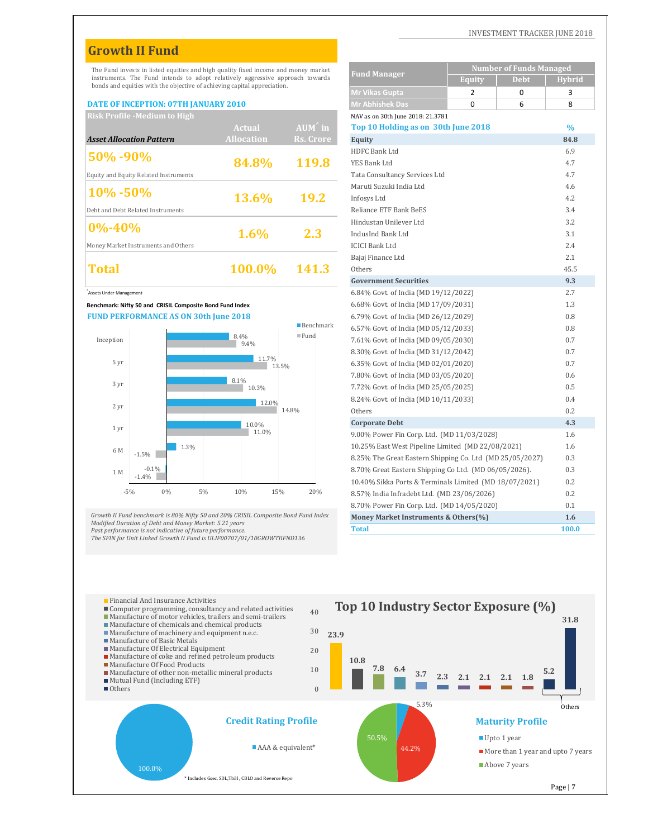# **Growth II Fund**

#### **DATE OF INCEPTION: 07TH JANUARY 2010**

| Total                                 | 100.0%            | 141.3             | Others                              | 45.5 |
|---------------------------------------|-------------------|-------------------|-------------------------------------|------|
|                                       |                   |                   | Bajaj Finance Ltd                   | 2.1  |
| Money Market Instruments and Others   |                   |                   | <b>ICICI Bank Ltd</b>               | 2.4  |
|                                       | $1.6\%$           | 2.3               | IndusInd Bank Ltd                   | 3.1  |
| $ 0\% - 40\%$                         |                   |                   | Hindustan Unilever Ltd              | 3.2  |
| Debt and Debt Related Instruments     |                   |                   | Reliance ETF Bank BeES              | 3.4  |
|                                       | <b>13.6%</b>      | <b>19.2</b>       | Infosys Ltd                         | 4.2  |
| $10\%$ -50%                           |                   |                   | Maruti Suzuki India Ltd             | 4.6  |
| Equity and Equity Related Instruments |                   |                   | Tata Consultancy Services Ltd       | 4.7  |
|                                       | 84.8%             | 119.8             | YES Bank Ltd                        | 4.7  |
| 50% -90%                              |                   |                   | HDFC Bank Ltd                       | 6.9  |
| <b>Asset Allocation Pattern</b>       | <b>Allocation</b> | Rs. Crore         | Equity                              | 84.8 |
|                                       | Actual            | $AUM^{\wedge}$ in | Top 10 Holding as on 30th June 2018 | $\%$ |
| <b>Risk Profile - Medium to High</b>  |                   |                   | NAV as on 30th June 2018: 21.3781   |      |



*The SFIN for Unit Linked Growth II Fund is ULIF00707/01/10GROWTIIFND136*

| The Fund invests in listed equities and high quality fixed income and money market                                                                        |                   |                          | <b>Fund Manager</b>                                   | <b>Number of Funds Managed</b>                           |               |
|-----------------------------------------------------------------------------------------------------------------------------------------------------------|-------------------|--------------------------|-------------------------------------------------------|----------------------------------------------------------|---------------|
| instruments. The Fund intends to adopt relatively aggressive approach towards<br>bonds and equities with the objective of achieving capital appreciation. |                   |                          |                                                       | <b>Debt</b><br><b>Equity</b>                             | <b>Hybrid</b> |
|                                                                                                                                                           |                   |                          | <b>Mr Vikas Gupta</b>                                 | 2<br>0                                                   | 3             |
| <b>DATE OF INCEPTION: 07TH JANUARY 2010</b>                                                                                                               |                   |                          | Mr Abhishek Das                                       | $\Omega$<br>6                                            | 8             |
| <b>Risk Profile -Medium to High</b>                                                                                                                       |                   |                          | NAV as on 30th June 2018: 21.3781                     |                                                          |               |
|                                                                                                                                                           | <b>Actual</b>     | $AUM^{\hat{}}$ in        | Top 10 Holding as on 30th June 2018                   |                                                          | $\%$          |
| <b>Asset Allocation Pattern</b>                                                                                                                           | <b>Allocation</b> | Rs. Crore                | Equity                                                |                                                          | 84.8          |
| 50% -90%                                                                                                                                                  |                   |                          | HDFC Bank Ltd                                         |                                                          | 6.9           |
|                                                                                                                                                           | 84.8%             | 119.8                    | YES Bank Ltd                                          |                                                          | 4.7           |
| Equity and Equity Related Instruments                                                                                                                     |                   |                          | Tata Consultancy Services Ltd                         |                                                          | 4.7           |
| 10% -50%                                                                                                                                                  |                   |                          | Maruti Suzuki India Ltd                               |                                                          | 4.6           |
|                                                                                                                                                           | 13.6%             | 19.2                     | Infosys Ltd                                           |                                                          | 4.2           |
| Debt and Debt Related Instruments                                                                                                                         |                   |                          | Reliance ETF Bank BeES                                |                                                          | 3.4           |
| 0%-40%                                                                                                                                                    |                   |                          | Hindustan Unilever Ltd                                |                                                          | 3.2           |
|                                                                                                                                                           | 1.6%              | 2.3                      | IndusInd Bank Ltd                                     |                                                          | 3.1           |
| Money Market Instruments and Others                                                                                                                       |                   |                          | <b>ICICI Bank Ltd</b>                                 |                                                          | 2.4           |
|                                                                                                                                                           |                   |                          | Bajaj Finance Ltd                                     |                                                          | 2.1           |
| Total                                                                                                                                                     | 100.0%            | 141.3                    | Others                                                |                                                          | 45.5          |
|                                                                                                                                                           |                   |                          | <b>Government Securities</b>                          |                                                          | 9.3           |
| Assets Under Management                                                                                                                                   |                   |                          | 6.84% Govt. of India (MD 19/12/2022)                  |                                                          | 2.7           |
| Benchmark: Nifty 50 and CRISIL Composite Bond Fund Index                                                                                                  |                   |                          | 6.68% Govt. of India (MD 17/09/2031)                  |                                                          | 1.3           |
| <b>FUND PERFORMANCE AS ON 30th June 2018</b>                                                                                                              |                   |                          | 6.79% Govt. of India (MD 26/12/2029)                  |                                                          | 0.8           |
|                                                                                                                                                           |                   | $\blacksquare$ Benchmark | 6.57% Govt. of India (MD 05/12/2033)                  |                                                          | 0.8           |
| Inception                                                                                                                                                 | 8.4%<br>9.4%      | $\blacksquare$ Fund      | 7.61% Govt. of India (MD 09/05/2030)                  |                                                          | 0.7           |
|                                                                                                                                                           | 11.7%             |                          | 8.30% Govt. of India (MD 31/12/2042)                  |                                                          | 0.7           |
| 5 yr                                                                                                                                                      | 13.5%             |                          | 6.35% Govt. of India (MD 02/01/2020)                  |                                                          | 0.7           |
|                                                                                                                                                           | 8.1%              |                          | 7.80% Govt. of India (MD 03/05/2020)                  |                                                          | 0.6           |
| 3 yr                                                                                                                                                      | 10.3%             |                          | 7.72% Govt. of India (MD 25/05/2025)                  |                                                          | 0.5           |
|                                                                                                                                                           | 12.0%             |                          | 8.24% Govt. of India (MD 10/11/2033)                  |                                                          | 0.4           |
| 2 yr                                                                                                                                                      |                   | 14.8%                    | Others                                                |                                                          | 0.2           |
| 1 yr                                                                                                                                                      | 10.0%             |                          | <b>Corporate Debt</b>                                 |                                                          | 4.3           |
|                                                                                                                                                           | 11.0%             |                          | 9.00% Power Fin Corp. Ltd. (MD 11/03/2028)            |                                                          | 1.6           |
| 1.3%<br>6 M                                                                                                                                               |                   |                          | 10.25% East West Pipeline Limited (MD 22/08/2021)     |                                                          | 1.6           |
| $-1.5%$                                                                                                                                                   |                   |                          |                                                       | 8.25% The Great Eastern Shipping Co. Ltd (MD 25/05/2027) | 0.3           |
| $-0.1%$<br>1 M<br>$-1.4%$                                                                                                                                 |                   |                          | 8.70% Great Eastern Shipping Co Ltd. (MD 06/05/2026). |                                                          | 0.3           |
|                                                                                                                                                           |                   |                          |                                                       | 10.40% Sikka Ports & Terminals Limited (MD 18/07/2021)   | 0.2           |
| $-5%$<br>0%<br>5%                                                                                                                                         | 10%<br>15%        | 20%                      | 8.57% India Infradebt Ltd. (MD 23/06/2026)            |                                                          | 0.2           |
|                                                                                                                                                           |                   |                          | 8.70% Power Fin Corp. Ltd. (MD 14/05/2020)            |                                                          | 0.1           |
| Growth II Fund benchmark is 80% Nifty 50 and 20% CRISIL Composite Bond Fund Index<br>Modified Duration of Debt and Money Market: 5.21 years               |                   |                          | Money Market Instruments & Others(%)                  |                                                          | 1.6           |
| Past performance is not indicative of future performance.                                                                                                 |                   |                          | <b>Total</b>                                          |                                                          | 100.0         |

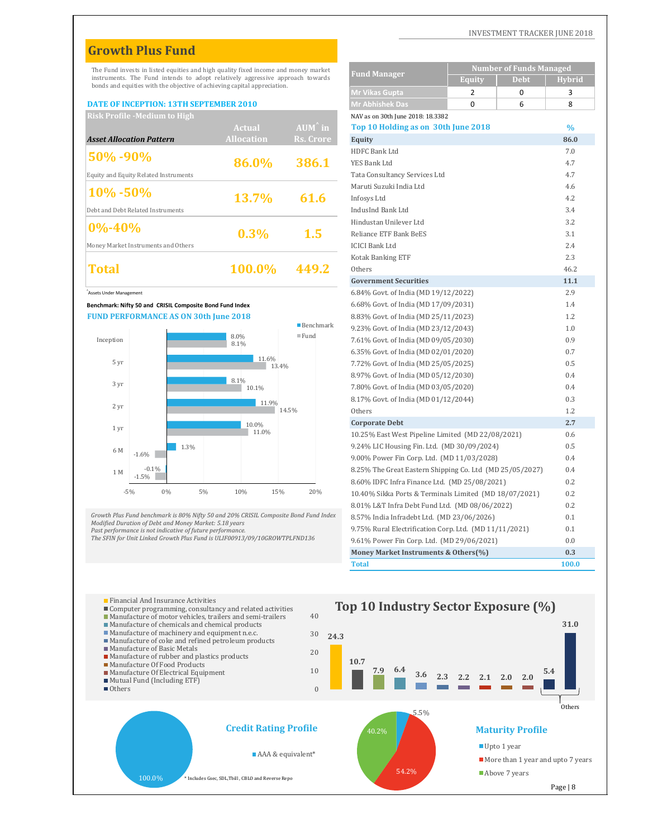# **Growth Plus Fund**

#### **DATE OF INCEPTION: 13TH SEPTEMBER 2010**

| <b>Risk Profile -Medium to High</b>   |                   |                   | NAV as on 30th June 2018: 18.3382   |      |
|---------------------------------------|-------------------|-------------------|-------------------------------------|------|
|                                       | <b>Actual</b>     | $AUM^{\wedge}$ in | Top 10 Holding as on 30th June 2018 | $\%$ |
| <b>Asset Allocation Pattern</b>       | <b>Allocation</b> | Rs. Crore         | Equity                              | 86.0 |
| 50% -90%                              |                   |                   | HDFC Bank Ltd                       | 7.0  |
|                                       | 86.0%             | 386.1             | YES Bank Ltd                        | 4.7  |
| Equity and Equity Related Instruments |                   |                   | Tata Consultancy Services Ltd       | 4.7  |
|                                       |                   |                   | Maruti Suzuki India Ltd             | 4.6  |
| $10\%$ -50%                           | <b>13.7%</b>      | 61.6              | Infosys Ltd                         | 4.2  |
| Debt and Debt Related Instruments     |                   |                   | IndusInd Bank Ltd                   | 3.4  |
|                                       |                   |                   | Hindustan Unilever Ltd              | 3.2  |
| $ 0\% - 40\%$                         | 0.3%              | 1.5               | Reliance ETF Bank BeES              | 3.1  |
| Money Market Instruments and Others   |                   |                   | <b>ICICI Bank Ltd</b>               | 2.4  |
|                                       |                   |                   | Kotak Banking ETF                   | 2.3  |
| Total                                 | 100.0%            | 449.2             | Others                              | 46.2 |
|                                       |                   |                   |                                     |      |



| uluwul rius rullu                                                                                                                                         |                   |                     |                                                        |                                                          |               |
|-----------------------------------------------------------------------------------------------------------------------------------------------------------|-------------------|---------------------|--------------------------------------------------------|----------------------------------------------------------|---------------|
| The Fund invests in listed equities and high quality fixed income and money market                                                                        |                   |                     | <b>Fund Manager</b>                                    | <b>Number of Funds Managed</b>                           |               |
| instruments. The Fund intends to adopt relatively aggressive approach towards<br>bonds and equities with the objective of achieving capital appreciation. |                   |                     |                                                        | <b>Equity</b><br><b>Debt</b>                             | <b>Hybrid</b> |
|                                                                                                                                                           |                   |                     | <b>Mr Vikas Gupta</b>                                  | 2<br>0                                                   | 3             |
| <b>DATE OF INCEPTION: 13TH SEPTEMBER 2010</b>                                                                                                             |                   |                     | <b>Mr Abhishek Das</b>                                 | $\Omega$<br>6                                            | 8             |
| <b>Risk Profile -Medium to High</b>                                                                                                                       |                   |                     | NAV as on 30th June 2018: 18.3382                      |                                                          |               |
|                                                                                                                                                           | <b>Actual</b>     | AUM <sup>"</sup> in | Top 10 Holding as on 30th June 2018                    |                                                          | $\frac{0}{0}$ |
| <b>Asset Allocation Pattern</b>                                                                                                                           | <b>Allocation</b> | Rs. Crore           | Equity                                                 |                                                          | 86.0          |
| 50% -90%                                                                                                                                                  |                   |                     | HDFC Bank Ltd                                          |                                                          | 7.0           |
|                                                                                                                                                           | 86.0%             | 386.1               | YES Bank Ltd                                           |                                                          | 4.7           |
| <b>Equity and Equity Related Instruments</b>                                                                                                              |                   |                     | Tata Consultancy Services Ltd                          |                                                          | 4.7           |
| 10%-50%                                                                                                                                                   |                   |                     | Maruti Suzuki India Ltd                                |                                                          | 4.6           |
|                                                                                                                                                           | 13.7%             | 61.6                | Infosys Ltd                                            |                                                          | 4.2           |
| Debt and Debt Related Instruments                                                                                                                         |                   |                     | IndusInd Bank Ltd                                      |                                                          | 3.4           |
| 0%-40%                                                                                                                                                    |                   |                     | Hindustan Unilever Ltd                                 |                                                          | 3.2           |
|                                                                                                                                                           | 0.3%              | 1.5                 | Reliance ETF Bank BeES                                 |                                                          | 3.1           |
| Money Market Instruments and Others                                                                                                                       |                   |                     | <b>ICICI Bank Ltd</b>                                  |                                                          | 2.4           |
|                                                                                                                                                           |                   |                     | <b>Kotak Banking ETF</b>                               |                                                          | 2.3           |
| Total                                                                                                                                                     | 100.0%            | 449.2               | Others                                                 |                                                          | 46.2          |
|                                                                                                                                                           |                   |                     | <b>Government Securities</b>                           |                                                          | 11.1          |
| Assets Under Management                                                                                                                                   |                   |                     | 6.84% Govt. of India (MD 19/12/2022)                   |                                                          | 2.9           |
| Benchmark: Nifty 50 and CRISIL Composite Bond Fund Index                                                                                                  |                   |                     | 6.68% Govt. of India (MD 17/09/2031)                   |                                                          | 1.4           |
| <b>FUND PERFORMANCE AS ON 30th June 2018</b>                                                                                                              |                   |                     | 8.83% Govt. of India (MD 25/11/2023)                   |                                                          | 1.2           |
|                                                                                                                                                           |                   | <b>Benchmark</b>    | 9.23% Govt. of India (MD 23/12/2043)                   |                                                          | 1.0           |
| Inception                                                                                                                                                 | 8.0%<br>8.1%      | $\blacksquare$ Fund | 7.61% Govt. of India (MD 09/05/2030)                   |                                                          | 0.9           |
|                                                                                                                                                           |                   |                     | 6.35% Govt. of India (MD 02/01/2020)                   |                                                          | 0.7           |
| 5 yr                                                                                                                                                      | 11.6%<br>13.4%    |                     | 7.72% Govt. of India (MD 25/05/2025)                   |                                                          | 0.5           |
|                                                                                                                                                           | 8.1%              |                     | 8.97% Govt. of India (MD 05/12/2030)                   |                                                          | 0.4           |
| 3 yr                                                                                                                                                      | 10.1%             |                     | 7.80% Govt. of India (MD 03/05/2020)                   |                                                          | 0.4           |
|                                                                                                                                                           | 11.9%             |                     | 8.17% Govt. of India (MD 01/12/2044)                   |                                                          | 0.3           |
| 2 yr                                                                                                                                                      |                   | 14.5%               | Others                                                 |                                                          | 1.2           |
| 1 yr                                                                                                                                                      | 10.0%             |                     | <b>Corporate Debt</b>                                  |                                                          | 2.7           |
|                                                                                                                                                           | 11.0%             |                     | 10.25% East West Pipeline Limited (MD 22/08/2021)      |                                                          | 0.6           |
| 1.3%<br>6 M                                                                                                                                               |                   |                     | 9.24% LIC Housing Fin. Ltd. (MD 30/09/2024)            |                                                          | 0.5           |
| $-1.6%$                                                                                                                                                   |                   |                     | 9.00% Power Fin Corp. Ltd. (MD 11/03/2028)             |                                                          | 0.4           |
| $-0.1%$<br>1 M<br>$-1.5%$                                                                                                                                 |                   |                     |                                                        | 8.25% The Great Eastern Shipping Co. Ltd (MD 25/05/2027) | 0.4           |
|                                                                                                                                                           |                   |                     | 8.60% IDFC Infra Finance Ltd. (MD 25/08/2021)          |                                                          | 0.2           |
| 0%<br>$-5%$                                                                                                                                               | 10%<br>5%<br>15%  | 20%                 |                                                        | 10.40% Sikka Ports & Terminals Limited (MD 18/07/2021)   | 0.2           |
|                                                                                                                                                           |                   |                     | 8.01% L&T Infra Debt Fund Ltd. (MD 08/06/2022)         |                                                          | 0.2           |
| Growth Plus Fund benchmark is 80% Nifty 50 and 20% CRISIL Composite Bond Fund Index<br>Modified Duration of Debt and Money Market: 5.18 years             |                   |                     | 8.57% India Infradebt Ltd. (MD 23/06/2026)             |                                                          | 0.1           |
| Past performance is not indicative of future performance.                                                                                                 |                   |                     | 9.75% Rural Electrification Corp. Ltd. (MD 11/11/2021) |                                                          | 0.1           |
| The SFIN for Unit Linked Growth Plus Fund is ULIF00913/09/10GROWTPLFND136                                                                                 |                   |                     | 9.61% Power Fin Corp. Ltd. (MD 29/06/2021)             |                                                          | 0.0           |
|                                                                                                                                                           |                   |                     | Money Market Instruments & Others(%)                   |                                                          | 0.3           |
|                                                                                                                                                           |                   |                     | <b>Total</b>                                           |                                                          | 100.0         |

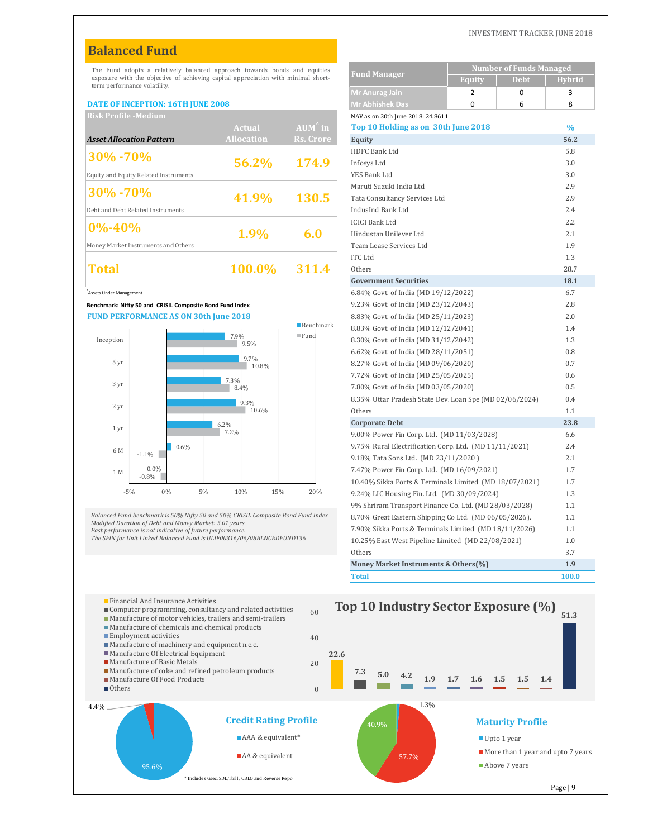# **Balanced Fund**

#### **DATE OF INCEPTION: 16TH JUNE 2008**

| Risk Profile -Medium                  |                   |                   | NAV as on 30th June 2018: 24.8611   |               |
|---------------------------------------|-------------------|-------------------|-------------------------------------|---------------|
|                                       | <b>Actual</b>     | $AUM^{\wedge}$ in | Top 10 Holding as on 30th June 2018 | $\frac{0}{0}$ |
| <b>Asset Allocation Pattern</b>       | <b>Allocation</b> | Rs. Crore         | Equity                              | 56.2          |
| $ 30\% \cdot 70\%$                    |                   |                   | HDFC Bank Ltd                       | 5.8           |
|                                       | 56.2%             | 174.9             | Infosys Ltd                         | 3.0           |
| Equity and Equity Related Instruments |                   |                   | YES Bank Ltd                        | 3.0           |
| $ 30\% - 70\% $                       |                   |                   | Maruti Suzuki India Ltd             | 2.9           |
|                                       | 41.9%             | <b>130.5</b>      | Tata Consultancy Services Ltd       | 2.9           |
| Debt and Debt Related Instruments     |                   |                   | IndusInd Bank Ltd                   | 2.4           |
| $ 0\% - 40\%$                         |                   |                   | <b>ICICI Bank Ltd</b>               | 2.2           |
|                                       | 1.9%              | 6.0               | Hindustan Unilever Ltd              | 2.1           |
| Money Market Instruments and Others   |                   |                   | Team Lease Services Ltd             | 1.9           |
|                                       |                   |                   | <b>ITC</b> Ltd                      | 1.3           |
| Total                                 | 100.0%            | 311.4             | Others                              | 28.7          |
|                                       |                   |                   |                                     |               |



|                                |                                                           | The Fund adopts a relatively balanced approach towards bonds and equities         |                          | <b>Fund Manager</b>                                     | <b>Number of Funds Managed</b> |             |               |
|--------------------------------|-----------------------------------------------------------|-----------------------------------------------------------------------------------|--------------------------|---------------------------------------------------------|--------------------------------|-------------|---------------|
|                                | term performance volatility.                              | exposure with the objective of achieving capital appreciation with minimal short- |                          |                                                         | <b>Equity</b>                  | <b>Debt</b> | <b>Hybrid</b> |
|                                |                                                           |                                                                                   |                          | Mr Anurag Jain                                          | $\overline{2}$                 | 0           | 3             |
|                                | <b>DATE OF INCEPTION: 16TH JUNE 2008</b>                  |                                                                                   |                          | <b>Mr Abhishek Das</b>                                  | $\mathbf 0$                    | 6           | 8             |
| <b>Risk Profile -Medium</b>    |                                                           |                                                                                   |                          | NAV as on 30th June 2018: 24.8611                       |                                |             |               |
|                                |                                                           | <b>Actual</b>                                                                     | $AUM^{\hat{}}$ in        | Top 10 Holding as on 30th June 2018                     |                                |             | $\%$          |
|                                | <b>Asset Allocation Pattern</b>                           | <b>Allocation</b>                                                                 | Rs. Crore                | Equity                                                  |                                |             | 56.2          |
| 30% -70%                       |                                                           |                                                                                   |                          | <b>HDFC Bank Ltd</b>                                    |                                |             | 5.8           |
|                                |                                                           | 56.2%                                                                             | 174.9                    | Infosys Ltd                                             |                                |             | 3.0           |
|                                | <b>Equity and Equity Related Instruments</b>              |                                                                                   |                          | YES Bank Ltd                                            |                                |             | 3.0           |
| 30% -70%                       |                                                           |                                                                                   |                          | Maruti Suzuki India Ltd                                 |                                |             | 2.9           |
|                                |                                                           | 41.9%                                                                             | 130.5                    | Tata Consultancy Services Ltd                           |                                |             | 2.9           |
|                                | Debt and Debt Related Instruments                         |                                                                                   |                          | IndusInd Bank Ltd                                       |                                |             | 2.4           |
| 0%-40%                         |                                                           |                                                                                   |                          | <b>ICICI Bank Ltd</b>                                   |                                |             | 2.2           |
|                                |                                                           | 1.9%                                                                              | 6.0                      | Hindustan Unilever Ltd                                  |                                |             | 2.1           |
|                                | Money Market Instruments and Others                       |                                                                                   |                          | Team Lease Services Ltd                                 |                                |             | 1.9           |
|                                |                                                           |                                                                                   |                          | <b>ITC</b> Ltd                                          |                                |             | 1.3           |
| Total                          |                                                           | 100.0%                                                                            | 311.4                    | Others                                                  |                                |             | 28.7          |
|                                |                                                           |                                                                                   |                          | <b>Government Securities</b>                            |                                |             | 18.1          |
| <b>Assets Under Management</b> |                                                           |                                                                                   |                          | 6.84% Govt. of India (MD 19/12/2022)                    |                                |             | 6.7           |
|                                |                                                           |                                                                                   |                          |                                                         |                                |             |               |
|                                | Benchmark: Nifty 50 and CRISIL Composite Bond Fund Index  |                                                                                   |                          | 9.23% Govt. of India (MD 23/12/2043)                    |                                |             | 2.8           |
|                                |                                                           | <b>FUND PERFORMANCE AS ON 30th June 2018</b>                                      |                          | 8.83% Govt. of India (MD 25/11/2023)                    |                                |             | 2.0           |
|                                |                                                           |                                                                                   | $\blacksquare$ Benchmark | 8.83% Govt. of India (MD 12/12/2041)                    |                                |             | 1.4           |
| Inception                      |                                                           | 7.9%<br>9.5%                                                                      | $\blacksquare$ Fund      | 8.30% Govt. of India (MD 31/12/2042)                    |                                |             | 1.3           |
|                                |                                                           | 9.7%                                                                              |                          | 6.62% Govt. of India (MD 28/11/2051)                    |                                |             | 0.8           |
| 5 yr                           |                                                           | 10.8%                                                                             |                          | 8.27% Govt. of India (MD 09/06/2020)                    |                                |             | 0.7           |
|                                |                                                           | 7.3%                                                                              |                          | 7.72% Govt. of India (MD 25/05/2025)                    |                                |             | 0.6           |
| 3 yr                           |                                                           | 8.4%                                                                              |                          | 7.80% Govt. of India (MD 03/05/2020)                    |                                |             | 0.5           |
|                                |                                                           | 9.3%                                                                              |                          | 8.35% Uttar Pradesh State Dev. Loan Spe (MD 02/06/2024) |                                |             | 0.4           |
| 2 yr                           |                                                           | 10.6%                                                                             |                          | Others                                                  |                                |             | 1.1           |
| 1 yr                           |                                                           | 6.2%                                                                              |                          | <b>Corporate Debt</b>                                   |                                |             | 23.8          |
|                                |                                                           | 7.2%                                                                              |                          | 9.00% Power Fin Corp. Ltd. (MD 11/03/2028)              |                                |             | 6.6           |
| 6 M                            | 0.6%<br>$-1.1%$                                           |                                                                                   |                          | 9.75% Rural Electrification Corp. Ltd. (MD 11/11/2021)  |                                |             | 2.4           |
|                                |                                                           |                                                                                   |                          | 9.18% Tata Sons Ltd. (MD 23/11/2020)                    |                                |             | 2.1           |
| 1 M                            | 0.0%<br>$-0.8%$                                           |                                                                                   |                          | 7.47% Power Fin Corp. Ltd. (MD 16/09/2021)              |                                |             | 1.7           |
|                                |                                                           |                                                                                   |                          | 10.40% Sikka Ports & Terminals Limited (MD 18/07/2021)  |                                |             | 1.7           |
| $-5%$                          | 0%                                                        | 10%<br>5%                                                                         | 20%<br>15%               | 9.24% LIC Housing Fin. Ltd. (MD 30/09/2024)             |                                |             | 1.3           |
|                                |                                                           |                                                                                   |                          | 9% Shriram Transport Finance Co. Ltd. (MD 28/03/2028)   |                                |             | 1.1           |
|                                | Modified Duration of Debt and Money Market: 5.01 years    | Balanced Fund benchmark is 50% Nifty 50 and 50% CRISIL Composite Bond Fund Index  |                          | 8.70% Great Eastern Shipping Co Ltd. (MD 06/05/2026).   |                                |             | 1.1           |
|                                | Past performance is not indicative of future performance. |                                                                                   |                          | 7.90% Sikka Ports & Terminals Limited (MD 18/11/2026)   |                                |             | 1.1           |
|                                |                                                           | The SFIN for Unit Linked Balanced Fund is ULIF00316/06/08BLNCEDFUND136            |                          | 10.25% East West Pipeline Limited (MD 22/08/2021)       |                                |             | 1.0           |
|                                |                                                           |                                                                                   |                          | Others<br>Money Market Instruments & Others(%)          |                                |             | 3.7<br>1.9    |

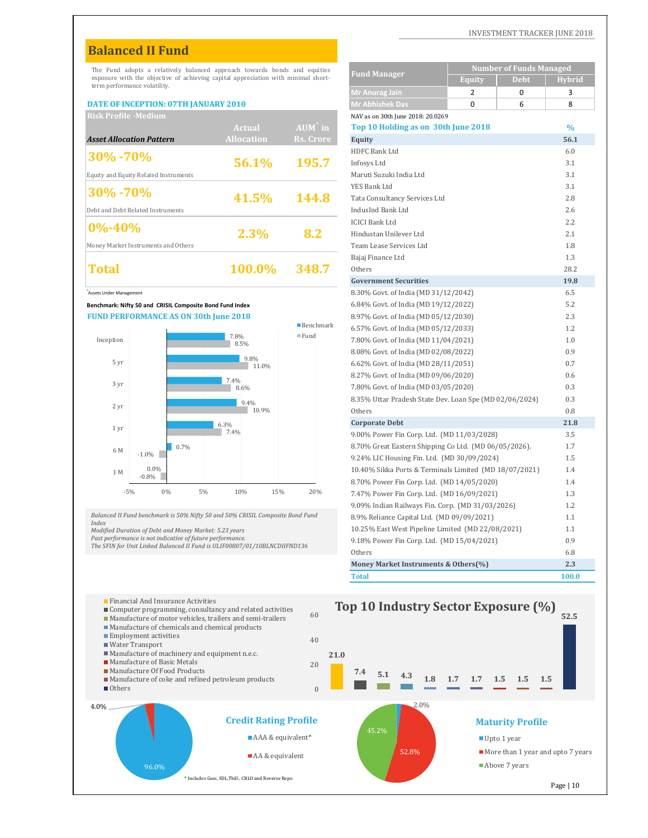# **Balanced II Fund**

#### **DATE OF INCEPTION: 07TH JANUARY 2010**

| <b>Risk Profile -Medium</b>           |                   |                   | NAV as on 30th June 2018: 20.0269   |               |
|---------------------------------------|-------------------|-------------------|-------------------------------------|---------------|
|                                       | <b>Actual</b>     | $AUM^{\wedge}$ in | Top 10 Holding as on 30th June 2018 | $\frac{0}{0}$ |
| <b>Asset Allocation Pattern</b>       | <b>Allocation</b> | Rs. Crore         | Equity                              | 56.1          |
| $ 30\% - 70\%$                        |                   |                   | HDFC Bank Ltd                       | 6.0           |
|                                       | 56.1%             | 195.7             | Infosys Ltd                         | 3.1           |
| Equity and Equity Related Instruments |                   |                   | Maruti Suzuki India Ltd             | 3.1           |
| $ 30\% - 70\%$                        |                   |                   | YES Bank Ltd                        | 3.1           |
|                                       | 41.5%             | 144.8             | Tata Consultancy Services Ltd       | 2.8           |
| Debt and Debt Related Instruments     |                   |                   | IndusInd Bank Ltd                   | 2.6           |
| $ 0\% - 40\%$                         |                   |                   | <b>ICICI Bank Ltd</b>               | 2.2           |
|                                       | 2.3%              | 8.2               | Hindustan Unilever Ltd              | 2.1           |
| Money Market Instruments and Others   |                   |                   | Team Lease Services Ltd             | 1.8           |
|                                       |                   |                   | Bajaj Finance Ltd                   | 1.3           |
| <b>Total</b>                          | 100.0%            | 348.7             | Others                              | 28.2          |
|                                       |                   |                   |                                     |               |



#### INVESTMENT TRACKER JUNE 2018

|                                |                                                                                                          | The Fund adopts a relatively balanced approach towards bonds and equities         |                          |                                                                              | <b>Number of Funds Managed</b>                          |               |
|--------------------------------|----------------------------------------------------------------------------------------------------------|-----------------------------------------------------------------------------------|--------------------------|------------------------------------------------------------------------------|---------------------------------------------------------|---------------|
| term performance volatility.   |                                                                                                          | exposure with the objective of achieving capital appreciation with minimal short- |                          | <b>Fund Manager</b>                                                          | <b>Debt</b><br>Equity                                   | <b>Hybrid</b> |
|                                |                                                                                                          |                                                                                   |                          | Mr Anurag Jain                                                               | $\overline{2}$<br>$\mathbf 0$                           | 3             |
|                                | DATE OF INCEPTION: 07TH JANUARY 2010                                                                     |                                                                                   |                          | <b>Mr Abhishek Das</b>                                                       | $\Omega$<br>6                                           | 8             |
| Risk Profile -Medium           |                                                                                                          |                                                                                   |                          | NAV as on 30th June 2018: 20.0269                                            |                                                         |               |
|                                |                                                                                                          | <b>Actual</b>                                                                     | $AUM^{\hat{}}$ in        | Top 10 Holding as on 30th June 2018                                          |                                                         | $\frac{0}{0}$ |
|                                | <b>Asset Allocation Pattern</b>                                                                          | <b>Allocation</b>                                                                 | Rs. Crore                | Equity                                                                       |                                                         | 56.1          |
| 30%-70%                        |                                                                                                          |                                                                                   |                          | HDFC Bank Ltd                                                                |                                                         | 6.0           |
|                                |                                                                                                          | 56.1%                                                                             | 195.7                    | Infosys Ltd                                                                  |                                                         | 3.1           |
|                                | Equity and Equity Related Instruments                                                                    |                                                                                   |                          | Maruti Suzuki India Ltd                                                      |                                                         | 3.1           |
| 30% -70%                       |                                                                                                          |                                                                                   |                          | YES Bank Ltd                                                                 |                                                         | 3.1           |
|                                |                                                                                                          | 41.5%                                                                             | 144.8                    | Tata Consultancy Services Ltd                                                |                                                         | 2.8           |
|                                | Debt and Debt Related Instruments                                                                        |                                                                                   |                          | IndusInd Bank Ltd                                                            |                                                         | 2.6           |
| 0%-40%                         |                                                                                                          |                                                                                   |                          | <b>ICICI Bank Ltd</b>                                                        |                                                         | 2.2           |
|                                |                                                                                                          | 2.3%                                                                              | 8.2                      | Hindustan Unilever Ltd                                                       |                                                         | 2.1           |
|                                | Money Market Instruments and Others                                                                      |                                                                                   |                          | Team Lease Services Ltd                                                      |                                                         | 1.8           |
|                                |                                                                                                          |                                                                                   |                          | Bajaj Finance Ltd                                                            |                                                         | 1.3           |
| Total                          |                                                                                                          | 100.0%                                                                            | 348.7                    | Others                                                                       |                                                         | 28.2          |
|                                |                                                                                                          |                                                                                   |                          | <b>Government Securities</b>                                                 |                                                         | 19.8          |
| <b>Assets Under Management</b> |                                                                                                          |                                                                                   |                          | 8.30% Govt. of India (MD 31/12/2042)                                         |                                                         | 6.5<br>5.2    |
|                                | Benchmark: Nifty 50 and CRISIL Composite Bond Fund Index<br><b>FUND PERFORMANCE AS ON 30th June 2018</b> |                                                                                   |                          | 6.84% Govt. of India (MD 19/12/2022)<br>8.97% Govt. of India (MD 05/12/2030) |                                                         | 2.3           |
|                                |                                                                                                          |                                                                                   | $\blacksquare$ Benchmark | 6.57% Govt. of India (MD 05/12/2033)                                         |                                                         | 1.2           |
| Inception                      |                                                                                                          | 7.8%                                                                              | $\blacksquare$ Fund      | 7.80% Govt. of India (MD 11/04/2021)                                         |                                                         | 1.0           |
|                                |                                                                                                          | 8.5%                                                                              |                          | 8.08% Govt. of India (MD 02/08/2022)                                         |                                                         | 0.9           |
| 5 yr                           |                                                                                                          | 9.8%                                                                              |                          | 6.62% Govt. of India (MD 28/11/2051)                                         |                                                         | 0.7           |
|                                |                                                                                                          | 11.0%                                                                             |                          | 8.27% Govt. of India (MD 09/06/2020)                                         |                                                         | 0.6           |
| 3 yr                           |                                                                                                          | 7.4%<br>8.6%                                                                      |                          | 7.80% Govt. of India (MD 03/05/2020)                                         |                                                         | 0.3           |
|                                |                                                                                                          |                                                                                   |                          |                                                                              | 8.35% Uttar Pradesh State Dev. Loan Spe (MD 02/06/2024) | 0.3           |
| 2 yr                           |                                                                                                          | 9.4%<br>10.9%                                                                     |                          | Others                                                                       |                                                         | 0.8           |
|                                |                                                                                                          | 6.3%                                                                              |                          | <b>Corporate Debt</b>                                                        |                                                         | 21.8          |
| 1 yr                           |                                                                                                          | 7.4%                                                                              |                          | 9.00% Power Fin Corp. Ltd. (MD 11/03/2028)                                   |                                                         | 3.5           |
|                                | 0.7%                                                                                                     |                                                                                   |                          | 8.70% Great Eastern Shipping Co Ltd. (MD 06/05/2026).                        |                                                         | 1.7           |
| 6 M                            | $-1.0%$                                                                                                  |                                                                                   |                          | 9.24% LIC Housing Fin. Ltd. (MD 30/09/2024)                                  |                                                         | 1.5           |
| 1 M                            | 0.0%                                                                                                     |                                                                                   |                          |                                                                              | 10.40% Sikka Ports & Terminals Limited (MD 18/07/2021)  | 1.4           |
|                                | $-0.8%$                                                                                                  |                                                                                   |                          | 8.70% Power Fin Corp. Ltd. (MD 14/05/2020)                                   |                                                         | 1.4           |
| $-5%$                          | 0%                                                                                                       | 5%<br>10%<br>15%                                                                  | 20%                      | 7.47% Power Fin Corp. Ltd. (MD 16/09/2021)                                   |                                                         | 1.3           |
|                                |                                                                                                          |                                                                                   |                          | 9.09% Indian Railways Fin. Corp. (MD 31/03/2026)                             |                                                         | 1.2           |
|                                |                                                                                                          | Balanced II Fund benchmark is 50% Nifty 50 and 50% CRISIL Composite Bond Fund     |                          | 8.9% Reliance Capital Ltd. (MD 09/09/2021)                                   |                                                         | 1.1           |
| Index                          | Modified Duration of Debt and Money Market: 5.23 years                                                   |                                                                                   |                          | 10.25% East West Pipeline Limited (MD 22/08/2021)                            |                                                         | 1.1           |
|                                | Past performance is not indicative of future performance.                                                | The SFIN for Unit Linked Balanced II Fund is ULIF00807/01/10BLNCDIIFND136         |                          | 9.18% Power Fin Corp. Ltd. (MD 15/04/2021)                                   |                                                         | 0.9           |
|                                |                                                                                                          |                                                                                   |                          | Others                                                                       |                                                         | 6.8           |
|                                |                                                                                                          |                                                                                   |                          | Money Market Instruments & Others(%)                                         |                                                         | 2.3           |
|                                |                                                                                                          |                                                                                   |                          | <b>Total</b>                                                                 |                                                         | 100.0         |
|                                |                                                                                                          |                                                                                   |                          |                                                                              |                                                         |               |

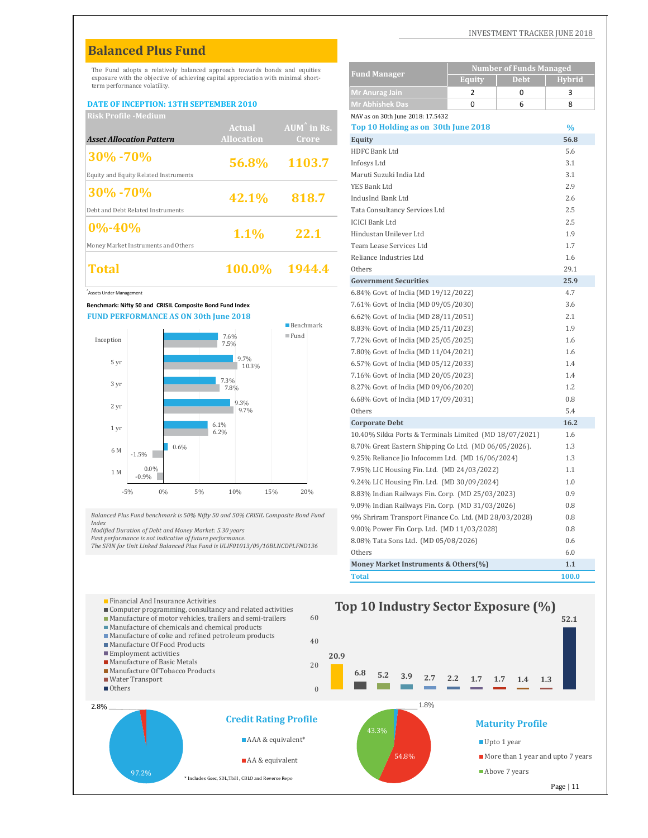# **Balanced Plus Fund**

#### **DATE OF INCEPTION: 13TH SEPTEMBER 2010**

| Risk Profile -Medium                  |                   |                                            | NAV as on 30th June 2018: 17.5432   |               |
|---------------------------------------|-------------------|--------------------------------------------|-------------------------------------|---------------|
|                                       | Actual            | AUM <sup><math>\hat{ }</math></sup> in Rs. | Top 10 Holding as on 30th June 2018 | $\frac{0}{0}$ |
| <b>Asset Allocation Pattern</b>       | <b>Allocation</b> | <b>Crore</b>                               | Equity                              | 56.8          |
|                                       |                   |                                            | HDFC Bank Ltd                       | 5.6           |
| $ 30\% - 70\%$                        | 56.8%             | 1103.7                                     | Infosys Ltd                         | 3.1           |
| Equity and Equity Related Instruments |                   |                                            | Maruti Suzuki India Ltd             | 3.1           |
| $ 30\% - 70\%$                        |                   |                                            | YES Bank Ltd                        | 2.9           |
|                                       | 42.1%             | 818.7                                      | IndusInd Bank Ltd                   | 2.6           |
| Debt and Debt Related Instruments     |                   |                                            | Tata Consultancy Services Ltd       | 2.5           |
|                                       |                   |                                            | <b>ICICI Bank Ltd</b>               | 2.5           |
| $ 0\% - 40\% $                        | $1.1\%$           | 22.1                                       | Hindustan Unilever Ltd              | 1.9           |
| Money Market Instruments and Others   |                   |                                            | Team Lease Services Ltd             | 1.7           |
|                                       |                   |                                            | Reliance Industries Ltd             | 1.6           |
| <b>Total</b>                          | <b>100.0%</b>     | 1944.4                                     | Others                              | 29.1          |
|                                       |                   |                                            |                                     |               |



| The Fund adopts a relatively balanced approach towards bonds and equities                                                                |                   |                                         | <b>Fund Manager</b>                                   | <b>Number of Funds Managed</b>                         |               |
|------------------------------------------------------------------------------------------------------------------------------------------|-------------------|-----------------------------------------|-------------------------------------------------------|--------------------------------------------------------|---------------|
| exposure with the objective of achieving capital appreciation with minimal short-<br>term performance volatility.                        |                   |                                         |                                                       | <b>Equity</b><br><b>Debt</b>                           | <b>Hybrid</b> |
|                                                                                                                                          |                   |                                         | Mr Anurag Jain                                        | $\overline{2}$<br>$\mathbf 0$                          | 3             |
| DATE OF INCEPTION: 13TH SEPTEMBER 2010                                                                                                   |                   |                                         | <b>Mr Abhishek Das</b>                                | $\Omega$<br>6                                          | 8             |
| Risk Profile -Medium                                                                                                                     |                   |                                         | NAV as on 30th June 2018: 17.5432                     |                                                        |               |
|                                                                                                                                          | <b>Actual</b>     | AUM <sup>^</sup> in Rs.                 | Top 10 Holding as on 30th June 2018                   |                                                        | $\%$          |
| <b>Asset Allocation Pattern</b>                                                                                                          | <b>Allocation</b> | Crore                                   | Equity                                                |                                                        | 56.8          |
| 30%-70%                                                                                                                                  |                   |                                         | <b>HDFC Bank Ltd</b>                                  |                                                        | 5.6           |
|                                                                                                                                          | 56.8%             | 1103.7                                  | Infosys Ltd                                           |                                                        | 3.1           |
| Equity and Equity Related Instruments                                                                                                    |                   |                                         | Maruti Suzuki India Ltd                               |                                                        | 3.1           |
| 30% -70%                                                                                                                                 |                   |                                         | <b>YES Bank Ltd</b>                                   |                                                        | 2.9           |
|                                                                                                                                          | 42.1%             | 818.7                                   | IndusInd Bank Ltd                                     |                                                        | 2.6           |
| Debt and Debt Related Instruments                                                                                                        |                   |                                         | Tata Consultancy Services Ltd                         |                                                        | 2.5           |
| 0%-40%                                                                                                                                   |                   |                                         | <b>ICICI Bank Ltd</b>                                 |                                                        | 2.5           |
|                                                                                                                                          | 1.1%              | 22.1                                    | Hindustan Unilever Ltd                                |                                                        | 1.9           |
| Money Market Instruments and Others                                                                                                      |                   |                                         | Team Lease Services Ltd                               |                                                        | 1.7           |
|                                                                                                                                          |                   |                                         | Reliance Industries Ltd                               |                                                        | 1.6           |
| Total                                                                                                                                    | 100.0%            | 1944.4                                  | Others                                                |                                                        | 29.1          |
|                                                                                                                                          |                   |                                         | <b>Government Securities</b>                          |                                                        | 25.9          |
| Assets Under Management                                                                                                                  |                   |                                         | 6.84% Govt. of India (MD 19/12/2022)                  |                                                        | 4.7           |
| Benchmark: Nifty 50 and CRISIL Composite Bond Fund Index                                                                                 |                   |                                         | 7.61% Govt. of India (MD 09/05/2030)                  |                                                        | 3.6           |
| <b>FUND PERFORMANCE AS ON 30th June 2018</b>                                                                                             |                   |                                         | 6.62% Govt. of India (MD 28/11/2051)                  |                                                        | 2.1           |
|                                                                                                                                          | 7.6%              | <b>Benchmark</b><br>$\blacksquare$ Fund | 8.83% Govt. of India (MD 25/11/2023)                  |                                                        | 1.9           |
| Inception                                                                                                                                | 7.5%              |                                         | 7.72% Govt. of India (MD 25/05/2025)                  |                                                        | 1.6           |
|                                                                                                                                          | 9.7%              |                                         | 7.80% Govt. of India (MD 11/04/2021)                  |                                                        | 1.6           |
| 5 yr                                                                                                                                     | 10.3%             |                                         | 6.57% Govt. of India (MD 05/12/2033)                  |                                                        | 1.4           |
|                                                                                                                                          | 7.3%              |                                         | 7.16% Govt. of India (MD 20/05/2023)                  |                                                        | 1.4           |
| 3 yr                                                                                                                                     | 7.8%              |                                         | 8.27% Govt. of India (MD 09/06/2020)                  |                                                        | 1.2           |
| 2 yr                                                                                                                                     | 9.3%              |                                         | 6.68% Govt. of India (MD 17/09/2031)                  |                                                        | 0.8           |
|                                                                                                                                          | 9.7%              |                                         | Others                                                |                                                        | 5.4           |
| 1 yr                                                                                                                                     | 6.1%              |                                         | <b>Corporate Debt</b>                                 |                                                        | 16.2          |
|                                                                                                                                          | 6.2%              |                                         |                                                       | 10.40% Sikka Ports & Terminals Limited (MD 18/07/2021) | 1.6           |
| 0.6%<br>6 M<br>$-1.5%$                                                                                                                   |                   |                                         | 8.70% Great Eastern Shipping Co Ltd. (MD 06/05/2026). |                                                        | 1.3           |
|                                                                                                                                          |                   |                                         | 9.25% Reliance Jio Infocomm Ltd. (MD 16/06/2024)      |                                                        | 1.3           |
| $0.0\%$<br>1 M<br>$-0.9%$                                                                                                                |                   |                                         | 7.95% LIC Housing Fin. Ltd. (MD 24/03/2022)           |                                                        | 1.1           |
|                                                                                                                                          |                   |                                         | 9.24% LIC Housing Fin. Ltd. (MD 30/09/2024)           |                                                        | 1.0           |
| 0%<br>$-5%$                                                                                                                              | 5%<br>10%<br>15%  | 20%                                     | 8.83% Indian Railways Fin. Corp. (MD 25/03/2023)      |                                                        | 0.9           |
|                                                                                                                                          |                   |                                         | 9.09% Indian Railways Fin. Corp. (MD 31/03/2026)      |                                                        | 0.8           |
| Balanced Plus Fund benchmark is 50% Nifty 50 and 50% CRISIL Composite Bond Fund<br>Index                                                 |                   |                                         | 9% Shriram Transport Finance Co. Ltd. (MD 28/03/2028) |                                                        | 0.8           |
| Modified Duration of Debt and Money Market: 5.30 years                                                                                   |                   |                                         | 9.00% Power Fin Corp. Ltd. (MD 11/03/2028)            |                                                        | 0.8           |
| Past performance is not indicative of future performance.<br>The SFIN for Unit Linked Balanced Plus Fund is ULIF01013/09/10BLNCDPLFND136 |                   |                                         | 8.08% Tata Sons Ltd. (MD 05/08/2026)                  |                                                        | 0.6           |
|                                                                                                                                          |                   |                                         | Others                                                |                                                        | 6.0           |
|                                                                                                                                          |                   |                                         | Money Market Instruments & Others(%)                  |                                                        | 1.1           |
|                                                                                                                                          |                   |                                         | <b>Total</b>                                          |                                                        | 100.0         |

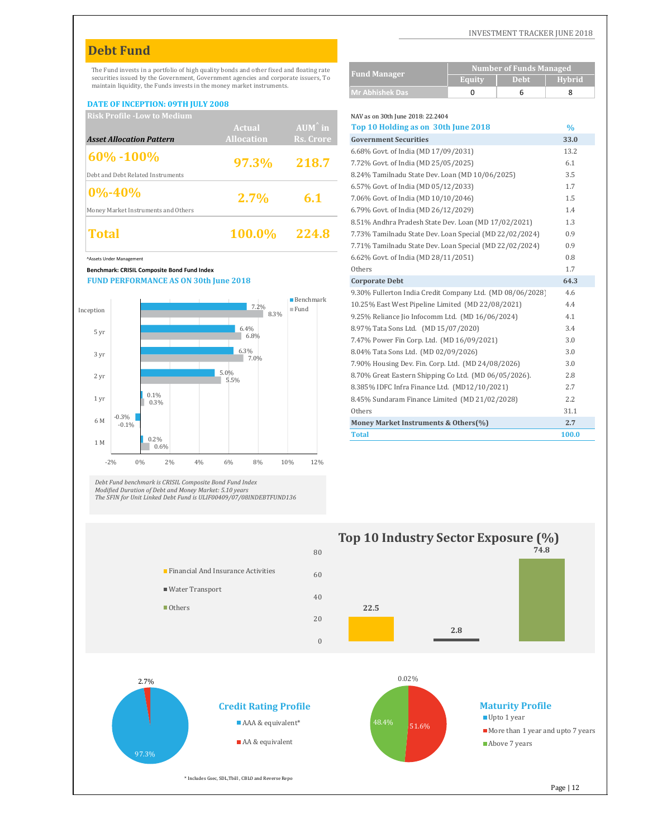## **Debt Fund**

The Fund invests in a portfolio of high quality bonds and other fixed and floating rate securities issued by the Government, Government agencies and corporate issuers, To maintain liquidity, the Funds invests in the money market instruments.

#### **DATE OF INCEPTION: 09TH JULY 2008**

| <b>Risk Profile -Low to Medium</b>  |                   |                   | NAV as on 30th June 2018: 22.2404                       |      |
|-------------------------------------|-------------------|-------------------|---------------------------------------------------------|------|
|                                     | Actual            | $AUM^{\hat{}}$ in | Top 10 Holding as on 30th June 2018                     | $\%$ |
| <b>Asset Allocation Pattern</b>     | <b>Allocation</b> | Rs. Crore         | <b>Government Securities</b>                            | 33.0 |
| $ 60\% - 100\%$                     |                   |                   | 6.68% Govt. of India (MD 17/09/2031)                    | 13.2 |
|                                     | 97.3%             | 218.7             | 7.72% Govt. of India (MD 25/05/2025)                    | 6.1  |
| Debt and Debt Related Instruments   |                   |                   | 8.24% Tamilnadu State Dev. Loan (MD 10/06/2025)         | 3.5  |
| $ 0\% - 40\% $                      |                   |                   | 6.57% Govt. of India (MD 05/12/2033)                    | 1.7  |
|                                     | 2.7%              | 6.1               | 7.06% Govt. of India (MD 10/10/2046)                    | 1.5  |
| Money Market Instruments and Others |                   |                   | 6.79% Govt. of India (MD 26/12/2029)                    | 1.4  |
|                                     |                   |                   | 8.51% Andhra Pradesh State Dev. Loan (MD 17/02/2021)    | 1.3  |
| Total                               | 100.0%            | 224.8             | 7.73% Tamilnadu State Dev. Loan Special (MD 22/02/2024) | 0.9  |
|                                     |                   |                   |                                                         |      |

^Assets Under Management

**Benchmark: CRISIL Composite Bond Fund Index** 

**FUND PERFORMANCE AS ON 30th June 2018**



Debt Fund benchmark is CRISIL Composite Bond Fund Index<br>Modified Duration of Debt and Money Market: 5.10 years<br>The SFIN for Unit Linked Debt Fund is ULIF00409/07/08INDEBTFUND136

97.3%

2.7%





| NAV as on 30th June 2018: 22.2404                         |               |
|-----------------------------------------------------------|---------------|
| Top 10 Holding as on 30th June 2018                       | $\frac{0}{0}$ |
| <b>Government Securities</b>                              | 33.0          |
| 6.68% Govt. of India (MD 17/09/2031)                      | 13.2          |
| 7.72% Govt. of India (MD 25/05/2025)                      | 6.1           |
| 8.24% Tamilnadu State Dev. Loan (MD 10/06/2025)           | 3.5           |
| 6.57% Govt. of India (MD 05/12/2033)                      | 1.7           |
| 7.06% Govt. of India (MD 10/10/2046)                      | 1.5           |
| 6.79% Govt. of India (MD 26/12/2029)                      | 1.4           |
| 8.51% Andhra Pradesh State Dev. Loan (MD 17/02/2021)      | 1.3           |
| 7.73% Tamilnadu State Dev. Loan Special (MD 22/02/2024)   | 0.9           |
| 7.71% Tamilnadu State Dev. Loan Special (MD 22/02/2024)   | 0.9           |
| 6.62% Govt. of India (MD 28/11/2051)                      | 0.8           |
| Others                                                    | 1.7           |
|                                                           |               |
| <b>Corporate Debt</b>                                     | 64.3          |
| 9.30% Fullerton India Credit Company Ltd. (MD 08/06/2028) | 4.6           |
| 10.25% East West Pipeline Limited (MD 22/08/2021)         | 4.4           |
| 9.25% Reliance Jio Infocomm Ltd. (MD 16/06/2024)          | 4.1           |
| 8.97% Tata Sons Ltd. (MD 15/07/2020)                      | 3.4           |
| 7.47% Power Fin Corp. Ltd. (MD 16/09/2021)                | 3.0           |
| 8.04% Tata Sons Ltd. (MD 02/09/2026)                      | 3.0           |
| 7.90% Housing Dev. Fin. Corp. Ltd. (MD 24/08/2026)        | 3.0           |
| 8.70% Great Eastern Shipping Co Ltd. (MD 06/05/2026).     | 2.8           |
| 8.385% IDFC Infra Finance Ltd. (MD12/10/2021)             | 2.7           |
| 8.45% Sundaram Finance Limited (MD 21/02/2028)            | 2.2           |
| Others                                                    | 31.1          |
| Money Market Instruments & Others(%)                      | 2.7           |

**Mr Abhishek Das 0688** 

**Fund Manager Number of Funds Managed**

**Equity** Debt Hybrid

\* Includes Gsec, SDL,Tbill , CBLO and Reverse Repo

**Credit Rating Profile** ■ AAA & equivalent\* ■ AA & equivalent

INVESTMENT TRACKER JUNE 2018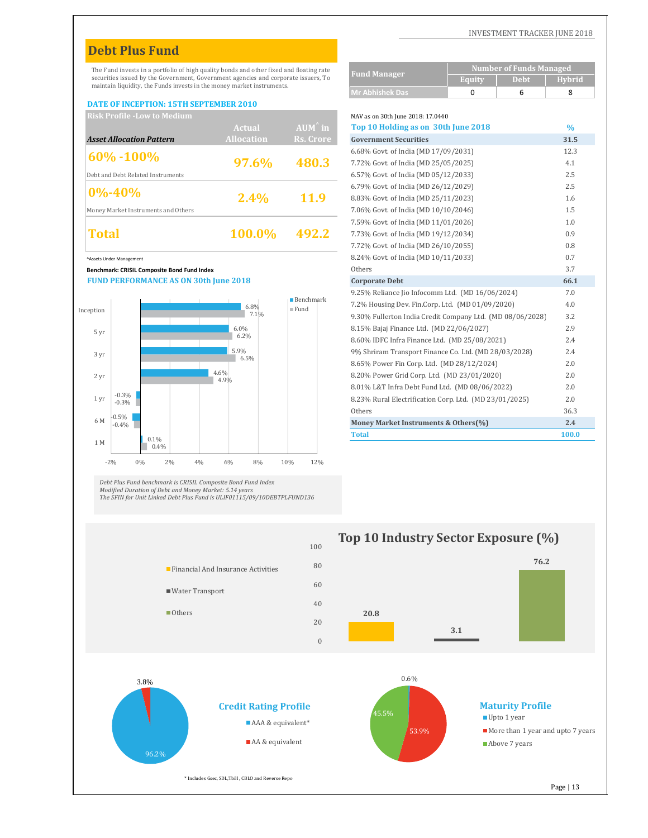# **Debt Plus Fund**

The Fund invests in a portfolio of high quality bonds and other fixed and floating rate securities issued by the Government, Government agencies and corporate issuers, To maintain liquidity, the Funds invests in the money market instruments.

#### **DATE OF INCEPTION: 15TH SEPTEMBER 2010**

| <b>Risk Profile -Low to Medium</b>  |                   |                   | NAV as on 30th June 2018: 17.0440    |      |
|-------------------------------------|-------------------|-------------------|--------------------------------------|------|
|                                     | Actual            | $AUM^{\wedge}$ in | Top 10 Holding as on 30th June 2018  | $\%$ |
| <b>Asset Allocation Pattern</b>     | <b>Allocation</b> | Rs. Crore         | <b>Government Securities</b>         | 31.5 |
| $ 60\% - 100\% $                    |                   |                   | 6.68% Govt. of India (MD 17/09/2031) | 12.3 |
|                                     | 97.6%             | 480.3             | 7.72% Govt. of India (MD 25/05/2025) | 4.1  |
| Debt and Debt Related Instruments   |                   |                   | 6.57% Govt. of India (MD 05/12/2033) | 2.5  |
| $ 0\% - 40\% $                      |                   |                   | 6.79% Govt. of India (MD 26/12/2029) | 2.5  |
|                                     | $2.4\%$           | <b>11.9</b>       | 8.83% Govt. of India (MD 25/11/2023) | 1.6  |
| Money Market Instruments and Others |                   |                   | 7.06% Govt. of India (MD 10/10/2046) | 1.5  |
|                                     |                   |                   | 7.59% Govt. of India (MD 11/01/2026) | 1.0  |
| Total                               | 100.0%            | 492.2             | 7.73% Govt. of India (MD 19/12/2034) | 0.9  |
|                                     |                   |                   |                                      |      |

^Assets Under Management

**Benchmark: CRISIL Composite Bond Fund Index** 

**FUND PERFORMANCE AS ON 30th June 2018**



Debt Plus Fund benchmark is CRISIL Composite Bond Fund Index<br>Modified Duration of Debt and Money Market: 5.14 years<br>The SFIN for Unit Linked Debt Plus Fund is ULIF01115/09/10DEBTPLFUND136







# <sup>100</sup> **Top <sup>10</sup> Industry Sector Exposure (%)**

INVESTMENT TRACKER JUNE 2018

| <b>Fund Manager</b>                                       |               | <b>Number of Funds Managed</b> |               |
|-----------------------------------------------------------|---------------|--------------------------------|---------------|
|                                                           | <b>Equity</b> | <b>Debt</b>                    | <b>Hybrid</b> |
| <b>Mr Abhishek Das</b>                                    | 0             | 6                              | 8             |
|                                                           |               |                                |               |
| NAV as on 30th June 2018: 17.0440                         |               |                                |               |
| Top 10 Holding as on 30th June 2018                       |               |                                | $\frac{0}{0}$ |
| <b>Government Securities</b>                              |               |                                | 31.5          |
| 6.68% Govt. of India (MD 17/09/2031)                      |               |                                | 12.3          |
| 7.72% Govt. of India (MD 25/05/2025)                      |               |                                | 4.1           |
| 6.57% Govt. of India (MD 05/12/2033)                      |               |                                | 2.5           |
| 6.79% Govt. of India (MD 26/12/2029)                      |               |                                | 2.5           |
| 8.83% Govt. of India (MD 25/11/2023)                      |               |                                | 1.6           |
| 7.06% Govt. of India (MD 10/10/2046)                      |               |                                | 1.5           |
| 7.59% Govt. of India (MD 11/01/2026)                      |               |                                | 1.0           |
| 7.73% Govt. of India (MD 19/12/2034)                      | 0.9           |                                |               |
| 7.72% Govt. of India (MD 26/10/2055)                      | 0.8           |                                |               |
| 8.24% Govt. of India (MD 10/11/2033)                      |               |                                | 0.7           |
| Others                                                    | 3.7           |                                |               |
| <b>Corporate Debt</b>                                     |               |                                | 66.1          |
| 9.25% Reliance Jio Infocomm Ltd. (MD 16/06/2024)          |               |                                | 7.0           |
| 7.2% Housing Dev. Fin.Corp. Ltd. (MD 01/09/2020)          |               |                                | 4.0           |
| 9.30% Fullerton India Credit Company Ltd. (MD 08/06/2028) |               |                                | 3.2           |
| 8.15% Bajaj Finance Ltd. (MD 22/06/2027)                  |               |                                | 2.9           |
| 8.60% IDFC Infra Finance Ltd. (MD 25/08/2021)             |               |                                | 2.4           |
| 9% Shriram Transport Finance Co. Ltd. (MD 28/03/2028)     |               |                                | 2.4           |
| 8.65% Power Fin Corp. Ltd. (MD 28/12/2024)                |               |                                | 2.0           |
| 8.20% Power Grid Corp. Ltd. (MD 23/01/2020)               |               |                                | 2.0           |
| 8.01% L&T Infra Debt Fund Ltd. (MD 08/06/2022)            |               |                                | 2.0           |
| 8.23% Rural Electrification Corp. Ltd. (MD 23/01/2025)    |               |                                | 2.0           |
| Others                                                    |               |                                | 36.3          |
| Money Market Instruments & Others(%)                      |               |                                | 2.4           |
| <b>Total</b>                                              |               |                                | 100.0         |

\* Includes Gsec, SDL,Tbill , CBLO and Reverse Repo

**Credit Rating Profile** ■ AAA & equivalent\* ■ AA & equivalent

 $\theta$ 

96.2%

3.8%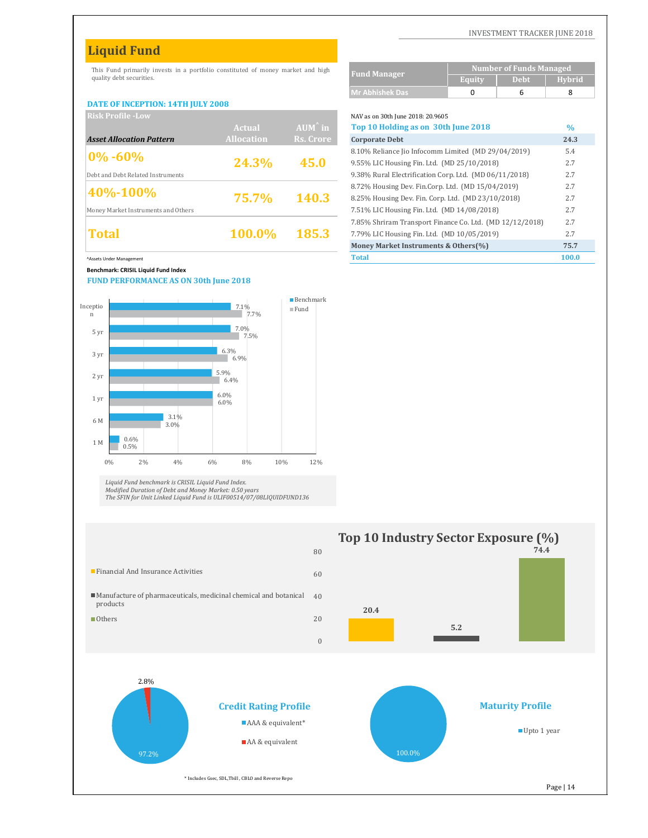#### INVESTMENT TRACKER JUNE 2018

# **Liquid Fund**

This Fund primarily invests in a portfolio constituted of money market and high quality debt securities.

#### **DATE OF INCEPTION: 14TH JULY 2008**

| <b>Risk Profile - Low</b>           |                   |                   | NAV as on 30th June 2018: 20.9605                                                                                                                                                                                                                                                                                                                                                                                                                            |      |
|-------------------------------------|-------------------|-------------------|--------------------------------------------------------------------------------------------------------------------------------------------------------------------------------------------------------------------------------------------------------------------------------------------------------------------------------------------------------------------------------------------------------------------------------------------------------------|------|
|                                     | Actual            | $AUM^{\hat{}}$ in | Top 10 Holding as on 30th June 2018                                                                                                                                                                                                                                                                                                                                                                                                                          | $\%$ |
| <b>Asset Allocation Pattern</b>     | <b>Allocation</b> | Rs. Crore         | <b>Corporate Debt</b>                                                                                                                                                                                                                                                                                                                                                                                                                                        | 24.3 |
| $ 0\% - 60\% $                      |                   |                   | 8.10% Reliance Jio Infocomm Limited (MD 29/04/2019)                                                                                                                                                                                                                                                                                                                                                                                                          | 5.4  |
|                                     | 24.3%             | 45.0              | 9.55% LIC Housing Fin. Ltd. (MD 25/10/2018)                                                                                                                                                                                                                                                                                                                                                                                                                  | 2.7  |
| Debt and Debt Related Instruments   |                   |                   | 9.38% Rural Electrification Corp. Ltd. (MD 06/11/2018)                                                                                                                                                                                                                                                                                                                                                                                                       | 2.7  |
| $ 40\% - 100\% $                    |                   |                   | 8.72% Housing Dev. Fin.Corp. Ltd. (MD 15/04/2019)                                                                                                                                                                                                                                                                                                                                                                                                            | 2.7  |
|                                     | 75.7%             | <b>140.3</b>      | 8.25% Housing Dev. Fin. Corp. Ltd. (MD 23/10/2018)                                                                                                                                                                                                                                                                                                                                                                                                           | 2.7  |
| Money Market Instruments and Others |                   |                   | 7.51% LIC Housing Fin. Ltd. (MD 14/08/2018)                                                                                                                                                                                                                                                                                                                                                                                                                  | 2.7  |
|                                     |                   |                   | 7.85% Shriram Transport Finance Co. Ltd. (MD 12/12/2018)                                                                                                                                                                                                                                                                                                                                                                                                     | 2.7  |
| Total                               | 100.0%            | 185.3             | 7.79% LIC Housing Fin. Ltd. (MD 10/05/2019)                                                                                                                                                                                                                                                                                                                                                                                                                  | 2.7  |
|                                     |                   |                   | $\mathbf{a} \cdot \mathbf{a} = \mathbf{a} \cdot \mathbf{a} + \mathbf{a} \cdot \mathbf{a} + \mathbf{a} \cdot \mathbf{a} + \mathbf{a} \cdot \mathbf{a} + \mathbf{a} \cdot \mathbf{a} + \mathbf{a} \cdot \mathbf{a} + \mathbf{a} \cdot \mathbf{a} + \mathbf{a} \cdot \mathbf{a} + \mathbf{a} \cdot \mathbf{a} + \mathbf{a} \cdot \mathbf{a} + \mathbf{a} \cdot \mathbf{a} + \mathbf{a} \cdot \mathbf{a} + \mathbf{a} \cdot \mathbf{a} + \mathbf{a} \cdot \math$ |      |

**Benchmark: CRISIL Liquid Fund Index**

**FUND PERFORMANCE AS ON 30th June 2018**



*Liquid Fund benchmark is CRISIL Liquid Fund Index.*

Modified Duration of Debt and Money Market: 0.50 years<br>The SFIN for Unit Linked Liquid Fund is ULIF00514/07/08LIQUIDFUND136



**Equity Debt Hybrid Mr Abhishek Das** 068 **Fund Manager Number of Funds Managed**

**Risk Profile -Low** NAV as on 30th June 2018: 20.9605 **%** 8.10% Reliance Jio Infocomm Limited (MD 29/04/2019) 5.4 9.55% LIC Housing Fin. Ltd. (MD 25/10/2018) 2.7 9.38% Rural Electrification Corp. Ltd. (MD 06/11/2018) 2.7 8.72% Housing Dev. Fin.Corp. Ltd. (MD 15/04/2019) 2.7 8.25% Housing Dev. Fin. Corp. Ltd. (MD 23/10/2018) 2.7 7.51% LIC Housing Fin. Ltd. (MD 14/08/2018) 2.7 7.85% Shriram Transport Finance Co. Ltd. (MD 12/12/2018) 2.7 7.79% LIC Housing Fin. Ltd. (MD 10/05/2019) 2.7 **Money Market Instruments & Others(%) 75.7** ^Assets Under Management **Total 100.0 Top 10 Holding as on 30th June 2018**

**74.4**



Upto 1 year

\* Includes Gsec, SDL,Tbill , CBLO and Reverse Repo

Page | 14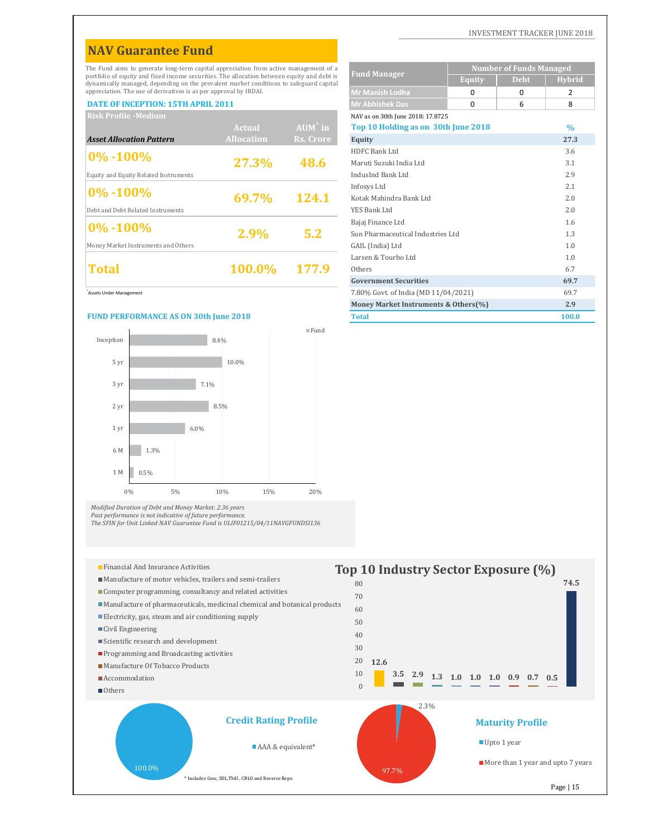#### INVESTMENT TRACKER JUNE 2018

# **NAV Guarantee Fund**

The Fund aims to generate long-term capital appreciation from active management of a portfolio of equity and fixed income securities. The allocation between equity and debt is dynamically managed, depending on the prevalent market conditions to safeguard capital appreciation. The use of derivatives is as per approval by IRDAI.

| Risk Profile -Medium                  |                   |                   | NAV as on 30th June 2018: 17.8725   |               |
|---------------------------------------|-------------------|-------------------|-------------------------------------|---------------|
|                                       | Actual            | $AUM^{\wedge}$ in | Top 10 Holding as on 30th June 2018 | $\frac{0}{0}$ |
| <b>Asset Allocation Pattern</b>       | <b>Allocation</b> | Rs. Crore         | Equity                              | 27.3          |
|                                       |                   |                   | HDFC Bank Ltd                       | 3.6           |
| $ 0\% - 100\%$                        | 27.3%             | 48.6              | Maruti Suzuki India Ltd             | 3.1           |
| Equity and Equity Related Instruments |                   |                   | IndusInd Bank Ltd                   | 2.9           |
|                                       |                   |                   | Infosys Ltd                         | 2.1           |
| $ 0\% - 100\%$                        | 69.7%             | 124.1             | Kotak Mahindra Bank Ltd             | 2.0           |
| Debt and Debt Related Instruments     |                   |                   | YES Bank Ltd                        | 2.0           |
|                                       |                   |                   | Bajaj Finance Ltd                   | 1.6           |
| $ 0\% - 100\%$                        | 2.9%              | 5.2               | Sun Pharmaceutical Industries Ltd   | 1.3           |
| Money Market Instruments and Others   |                   |                   | GAIL (India) Ltd                    | 1.0           |
|                                       |                   |                   | Larsen & Tourbo Ltd                 | 1.0           |
| <b>Total</b>                          | 100.0%            | 177.9             | Others                              | 6.7           |
|                                       |                   |                   |                                     |               |

^Accots Under Management

#### **FUND PERFORMANCE AS ON 30th June 2018**



**Equity** Debt Hybrid **Mr Manish Lodha** 002 **DATE OF INCEPTION: 15TH APRIL 2011 Mr Abhishek** Das 06688 **Risk Profile -Medium** NAV as on 30th June 2018: 17.8725 **%** HDFC Bank Ltd 3.6 Maruti Suzuki India Ltd 3.1 Equity and Equity Related Instruments IndusInd Bank Ltd 2.9 Infosys Ltd 2.1 Kotak Mahindra Bank Ltd 2.0 Bajaj Finance Ltd 1.6 Sun Pharmaceutical Industries Ltd 1.3 Larsen & Tourbo Ltd 1.0 Others 6.7 **Government Securities** 69.7 7.80% Govt. of India (MD 11/04/2021) 69.7 **Money Market Instruments & Others(%) 2.9 Total 100.0 Fund Manager Number of Funds Managed Top 10 Holding as on 30th June 2018**

*Modified Duration of Debt and Money Market: 2.36 years*

Past performance is not indicative of future performance.<br>The SFIN for Unit Linked NAV Guarantee Fund is ULIF01215/04/11NAVGFUNDSI136

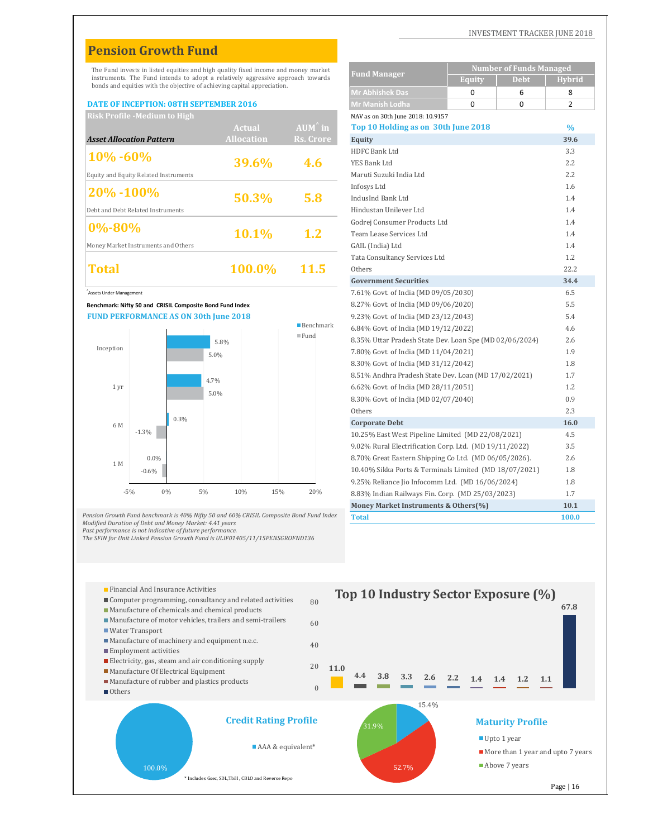# **Pension Growth Fund**

#### **DATE OF INCEPTION: 08TH SEPTEMBER 2016**

| <b>Risk Profile -Medium to High</b>   |                   |                   | NAV as on 30th June 2018: 10.9157   |               |
|---------------------------------------|-------------------|-------------------|-------------------------------------|---------------|
|                                       | Actual            | $AUM^{\wedge}$ in | Top 10 Holding as on 30th June 2018 | $\frac{0}{0}$ |
| <b>Asset Allocation Pattern</b>       | <b>Allocation</b> | Rs. Crore         | Equity                              | 39.6          |
|                                       |                   |                   | HDFC Bank Ltd                       | 3.3           |
| $ 10\% - 60\%$                        | 39.6%             | 4.6               | YES Bank Ltd                        | 2.2           |
| Equity and Equity Related Instruments |                   |                   | Maruti Suzuki India Ltd             | 2.2           |
| $ 20\% - 100\%$                       |                   |                   | Infosys Ltd                         | 1.6           |
|                                       | 50.3%             | 5.8               | IndusInd Bank Ltd                   | 1.4           |
| Debt and Debt Related Instruments     |                   |                   | Hindustan Unilever Ltd              | 1.4           |
| $ 0\% - 80\%$                         |                   |                   | Godrej Consumer Products Ltd        | 1.4           |
|                                       | 10.1%             | 1.2               | Team Lease Services Ltd             | 1.4           |
| Money Market Instruments and Others   |                   |                   | GAIL (India) Ltd                    | 1.4           |
|                                       |                   |                   | Tata Consultancy Services Ltd       | 1.2           |
| <b>Total</b>                          | 100.0%            | 11.5              | Others                              | 22.2          |
|                                       |                   |                   |                                     | $ -$          |





Pension Growth Fund benchmark is 40% Nifty 50 and 60% CRISIL Composite Bond Fund Index<br>Modified Duration of Debt and Money Market: 4.41 years<br>Past performance is not indicative of future performance.<br>The SFIN for Unit Link

| The Fund invests in listed equities and high quality fixed income and money market |                                                          |      | <b>Fund Manager</b> | <b>Number of Funds Managed</b>                                                                                                                              |                                        |                                                         |                              |                |
|------------------------------------------------------------------------------------|----------------------------------------------------------|------|---------------------|-------------------------------------------------------------------------------------------------------------------------------------------------------------|----------------------------------------|---------------------------------------------------------|------------------------------|----------------|
|                                                                                    |                                                          |      |                     | instruments. The Fund intends to adopt a relatively aggressive approach towards<br>bonds and equities with the objective of achieving capital appreciation. |                                        |                                                         | <b>Debt</b><br><b>Equity</b> | <b>Hybrid</b>  |
|                                                                                    |                                                          |      |                     |                                                                                                                                                             |                                        | <b>Mr Abhishek Das</b>                                  | $\Omega$<br>6                | 8              |
|                                                                                    | <b>DATE OF INCEPTION: 08TH SEPTEMBER 2016</b>            |      |                     |                                                                                                                                                             |                                        | Mr Manish Lodha                                         | 0<br>$\Omega$                | $\overline{2}$ |
|                                                                                    | <b>Risk Profile - Medium to High</b>                     |      |                     |                                                                                                                                                             |                                        | NAV as on 30th June 2018: 10.9157                       |                              |                |
|                                                                                    |                                                          |      |                     | <b>Actual</b>                                                                                                                                               | AUM <sup><math>\hat{ }</math></sup> in | Top 10 Holding as on 30th June 2018                     |                              | $\frac{0}{0}$  |
|                                                                                    | <b>Asset Allocation Pattern</b>                          |      |                     | <b>Allocation</b>                                                                                                                                           | <b>Rs. Crore</b>                       | Equity                                                  |                              | 39.6           |
| 10% -60%                                                                           |                                                          |      |                     |                                                                                                                                                             |                                        | <b>HDFC Bank Ltd</b>                                    |                              | 3.3            |
|                                                                                    |                                                          |      |                     | 39.6%                                                                                                                                                       | 4.6                                    | YES Bank Ltd                                            |                              | 2.2            |
|                                                                                    | Equity and Equity Related Instruments                    |      |                     |                                                                                                                                                             |                                        | Maruti Suzuki India Ltd                                 |                              | 2.2            |
| 20%-100%                                                                           |                                                          |      |                     |                                                                                                                                                             |                                        | Infosys Ltd                                             |                              | 1.6            |
|                                                                                    |                                                          |      |                     | 50.3%                                                                                                                                                       | 5.8                                    | IndusInd Bank Ltd                                       |                              | 1.4            |
|                                                                                    | Debt and Debt Related Instruments                        |      |                     |                                                                                                                                                             |                                        | Hindustan Unilever Ltd                                  |                              | 1.4            |
| 0%-80%                                                                             |                                                          |      |                     |                                                                                                                                                             |                                        | Godrej Consumer Products Ltd                            |                              | 1.4            |
|                                                                                    |                                                          |      |                     | 10.1%                                                                                                                                                       | 1.2                                    | Team Lease Services Ltd                                 |                              | 1.4            |
|                                                                                    | Money Market Instruments and Others                      |      |                     |                                                                                                                                                             |                                        | GAIL (India) Ltd                                        |                              | 1.4            |
|                                                                                    |                                                          |      |                     |                                                                                                                                                             |                                        | Tata Consultancy Services Ltd                           |                              | 1.2            |
| Total                                                                              |                                                          |      |                     | 100.0%                                                                                                                                                      | 11.5                                   | Others                                                  |                              | 22.2           |
|                                                                                    |                                                          |      |                     |                                                                                                                                                             |                                        | <b>Government Securities</b>                            |                              | 34.4           |
| Assets Under Management                                                            |                                                          |      |                     |                                                                                                                                                             |                                        | 7.61% Govt. of India (MD 09/05/2030)                    |                              | 6.5            |
|                                                                                    | Benchmark: Nifty 50 and CRISIL Composite Bond Fund Index |      |                     |                                                                                                                                                             |                                        | 8.27% Govt. of India (MD 09/06/2020)                    |                              | 5.5            |
|                                                                                    | <b>FUND PERFORMANCE AS ON 30th June 2018</b>             |      |                     |                                                                                                                                                             |                                        | 9.23% Govt. of India (MD 23/12/2043)                    |                              | 5.4            |
|                                                                                    |                                                          |      |                     |                                                                                                                                                             | $\blacksquare$ Benchmark<br>Fund       | 6.84% Govt. of India (MD 19/12/2022)                    |                              | 4.6            |
|                                                                                    |                                                          |      | 5.8%                |                                                                                                                                                             |                                        | 8.35% Uttar Pradesh State Dev. Loan Spe (MD 02/06/2024) |                              | 2.6            |
| Inception                                                                          |                                                          |      | 5.0%                |                                                                                                                                                             |                                        | 7.80% Govt. of India (MD 11/04/2021)                    |                              | 1.9            |
|                                                                                    |                                                          |      |                     |                                                                                                                                                             |                                        | 8.30% Govt. of India (MD 31/12/2042)                    |                              | 1.8            |
|                                                                                    |                                                          |      | 4.7%                |                                                                                                                                                             |                                        | 8.51% Andhra Pradesh State Dev. Loan (MD 17/02/2021)    |                              | 1.7            |
| 1 yr                                                                               |                                                          |      | 5.0%                |                                                                                                                                                             |                                        | 6.62% Govt. of India (MD 28/11/2051)                    |                              | 1.2            |
|                                                                                    |                                                          |      |                     |                                                                                                                                                             |                                        | 8.30% Govt. of India (MD 02/07/2040)                    |                              | 0.9            |
|                                                                                    |                                                          |      |                     |                                                                                                                                                             |                                        | Others                                                  |                              | 2.3            |
| 6 M                                                                                |                                                          | 0.3% |                     |                                                                                                                                                             |                                        | <b>Corporate Debt</b>                                   |                              | 16.0           |
|                                                                                    | $-1.3%$                                                  |      |                     |                                                                                                                                                             |                                        | 10.25% East West Pipeline Limited (MD 22/08/2021)       |                              | 4.5            |
|                                                                                    |                                                          |      |                     |                                                                                                                                                             |                                        | 9.02% Rural Electrification Corp. Ltd. (MD 19/11/2022)  |                              | 3.5            |
| 1 M                                                                                | $0.0\%$                                                  |      |                     |                                                                                                                                                             |                                        | 8.70% Great Eastern Shipping Co Ltd. (MD 06/05/2026).   |                              | 2.6            |
|                                                                                    | $-0.6%$                                                  |      |                     |                                                                                                                                                             |                                        | 10.40% Sikka Ports & Terminals Limited (MD 18/07/2021)  |                              | 1.8            |
|                                                                                    |                                                          |      |                     |                                                                                                                                                             |                                        | 9.25% Reliance Jio Infocomm Ltd. (MD 16/06/2024)        |                              | 1.8            |
| $-5%$                                                                              | 0%                                                       |      | 5%                  | 10%<br>15%                                                                                                                                                  | 20%                                    | 8.83% Indian Railways Fin. Corp. (MD 25/03/2023)        |                              | 1.7            |
|                                                                                    |                                                          |      |                     |                                                                                                                                                             |                                        | Money Market Instruments & Others(%)                    |                              | 10.1           |
|                                                                                    |                                                          |      |                     | ension Growth Fund benchmark is 40% Nifty 50 and 60% CRISIL Composite Bond Fund Index                                                                       |                                        | <b>Total</b>                                            |                              | 100.0          |

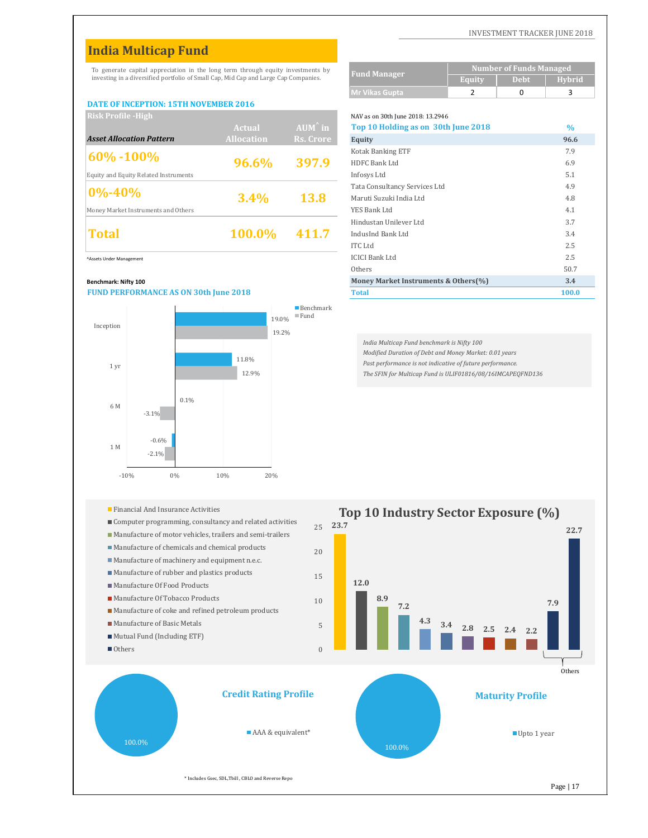# **India Multicap Fund**

To generate capital appreciation in the long term through equity investments by investing in a diversified portfolio of Small Cap, Mid Cap and Large Cap Companies.

#### **DATE OF INCEPTION: 15TH NOVEMBER 2016**

| <b>Risk Profile - High</b>            |                   |                   | NAV as on 30th June 2018: 13.2946   |            |
|---------------------------------------|-------------------|-------------------|-------------------------------------|------------|
|                                       | <b>Actual</b>     | $AUM^{\hat{}}$ in | Top 10 Holding as on 30th June 2018 | $\%$       |
| <b>Asset Allocation Pattern</b>       | <b>Allocation</b> | Rs. Crore         | Equity                              | 96.6       |
|                                       |                   |                   | Kotak Banking ETF                   | 7.9        |
| $ 60\% - 100\%$                       | <b>96.6%</b>      | 397.9             | HDFC Bank Ltd                       | 6.9        |
| Equity and Equity Related Instruments |                   |                   | Infosys Ltd                         | 5.1        |
| $ 0\% - 40\% $                        |                   |                   | Tata Consultancy Services Ltd       | 4.9        |
|                                       | 3.4%              | <b>13.8</b>       | Maruti Suzuki India Ltd             | 4.8        |
| Money Market Instruments and Others   |                   |                   | YES Bank Ltd                        | 4.1        |
|                                       |                   |                   | Hindustan Unilever Ltd              | 3.7        |
| Total                                 | 100.0%            | 411.7             | IndusInd Bank Ltd                   | 3.4        |
|                                       |                   |                   | $Y \cap \{0, 1, \ldots, 1\}$        | $\sim$ $-$ |

^Assets Under Management

#### **Benchmark:** Nifty 100

#### **FUND PERFORMANCE AS ON 30th June 2018**



| <b>Mr Vikas Gupta</b>               |  | 3             |
|-------------------------------------|--|---------------|
|                                     |  |               |
| NAV as on 30th June 2018: 13.2946   |  |               |
| Top 10 Holding as on 30th June 2018 |  | $\frac{0}{4}$ |
| Equity                              |  | 96            |
| Kotak Banking ETF                   |  | 7.1           |
| HDFC Bank Ltd                       |  | 6.            |
| Inform I td                         |  |               |

**Fund Manager Number of Funds Managed**

| Equity                               | 96.6 |
|--------------------------------------|------|
| Kotak Banking ETF                    | 7.9  |
| <b>HDFC Bank Ltd</b>                 | 6.9  |
| Infosys Ltd                          | 5.1  |
| Tata Consultancy Services Ltd        | 4.9  |
| Maruti Suzuki India Ltd              | 4.8  |
| YES Bank Ltd                         | 4.1  |
| Hindustan Unilever Ltd               | 3.7  |
| IndusInd Bank Ltd                    | 3.4  |
| <b>ITC</b> Ltd                       | 2.5  |
| <b>ICICI Bank Ltd</b>                | 2.5  |
| Others                               | 50.7 |
| Money Market Instruments & Others(%) | 3.4  |

**Total 100.0** 

*India Multicap Fund benchmark is Nifty 100 Modified Duration of Debt and Money Market: 0.01 years Past performance is not indicative of future performance. The SFIN for Multicap Fund is ULIF01816/08/16IMCAPEQFND136*

- 
- $\blacksquare$  Computer programming, consultancy and related activities
- $\blacksquare$  Manufacture of motor vehicles, trailers and semi-trailers
- $\blacksquare$  Manufacture of chemicals and chemical products
- $\blacksquare$  Manufacture of machinery and equipment n.e.c.
- $\blacksquare$  Manufacture of rubber and plastics products
- Manufacture Of Food Products
- Manufacture Of Tobacco Products
- $\blacksquare$  <br> Manufacture of coke and refined petroleum products
- $\blacksquare$  <br> Manufacture of Basic Metals
- $Mutual Fund (Including ETF)$
- Others

100.0%



\* Includes Gsec, SDL,Tbill , CBLO and Reverse Repo

#### INVESTMENT TRACKER JUNE 2018

**Equity Debt Hybrid**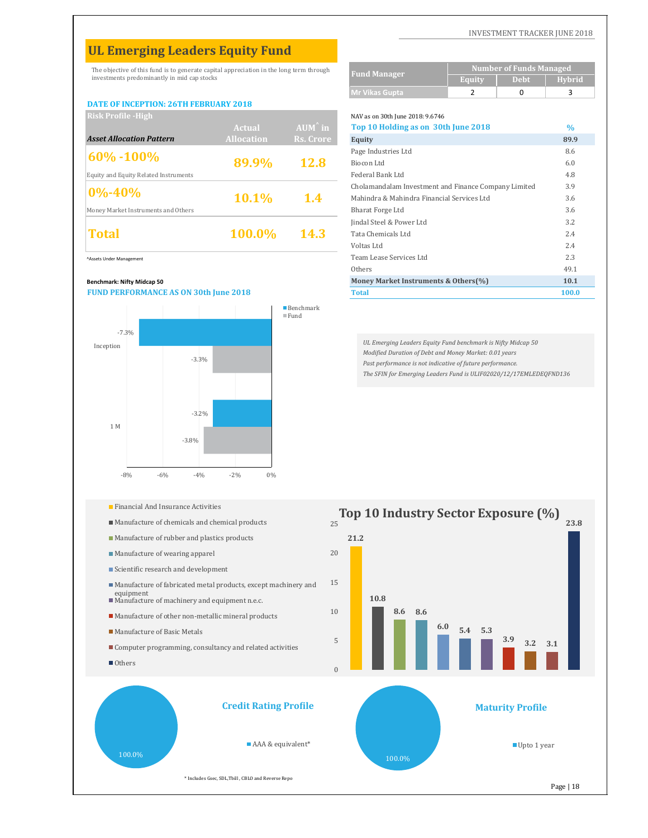#### INVESTMENT TRACKER JUNE 2018

# **UL Emerging Leaders Equity Fund**

The objective of this fund is to generate capital appreciation in the long term through investments predominantly in mid cap stocks

#### **DATE OF INCEPTION: 26TH FEBRUARY 2018**

| <b>Risk Profile - High</b>            |                   |                   | NAV as on 30th June 2018: 9.6746                     |      |
|---------------------------------------|-------------------|-------------------|------------------------------------------------------|------|
|                                       | Actual            | $AUM^{\wedge}$ in | Top 10 Holding as on 30th June 2018                  | $\%$ |
| <b>Asset Allocation Pattern</b>       | <b>Allocation</b> | Rs. Crore         | Equity                                               | 89.9 |
| $ 60\% - 100\% $                      |                   |                   | Page Industries Ltd                                  | 8.6  |
|                                       | 89.9%             | <b>12.8</b>       | Biocon Ltd                                           | 6.0  |
| Equity and Equity Related Instruments |                   |                   | Federal Bank Ltd                                     | 4.8  |
| $ 0\% - 40\% $                        |                   |                   | Cholamandalam Investment and Finance Company Limited | 3.9  |
|                                       | <b>10.1%</b>      | $1.4^{\circ}$     | Mahindra & Mahindra Financial Services Ltd           | 3.6  |
| Money Market Instruments and Others   |                   |                   | Bharat Forge Ltd                                     | 3.6  |
|                                       |                   |                   | Jindal Steel & Power Ltd                             | 3.2  |
| Total                                 | 100.0%            | <b>14.3</b>       | Tata Chemicals Ltd                                   | 2.4  |
|                                       |                   |                   | Voltas Ltd                                           | 24   |

^Assets Under Management

#### **Benchmark: Nifty Midcap 50**

#### **FUND PERFORMANCE AS ON 30th June 2018**



| <b>Fund Manager</b> | <b>Number of Funds Managed</b> |             |                |  |  |
|---------------------|--------------------------------|-------------|----------------|--|--|
|                     | Equity                         | <b>Debt</b> | <b>H</b> vbrid |  |  |
| Mr Vikas Gupta      |                                |             |                |  |  |

| NAV as on 30th June 2018: 9.6746                     |       |
|------------------------------------------------------|-------|
| Top 10 Holding as on 30th June 2018                  | $\%$  |
| Equity                                               | 89.9  |
| Page Industries Ltd                                  | 8.6   |
| Biocon Ltd                                           | 6.0   |
| Federal Bank Ltd                                     | 4.8   |
| Cholamandalam Investment and Finance Company Limited | 3.9   |
| Mahindra & Mahindra Financial Services Ltd           | 3.6   |
| Bharat Forge Ltd                                     | 3.6   |
| Jindal Steel & Power Ltd                             | 3.2   |
| Tata Chemicals Ltd                                   | 2.4   |
| Voltas Ltd                                           | 2.4   |
| Team Lease Services Ltd                              | 2.3   |
| Others                                               | 49.1  |
| Money Market Instruments & Others(%)                 | 10.1  |
| <b>Total</b>                                         | 100.0 |

*UL Emerging Leaders Equity Fund benchmark is Nifty Midcap 50 Modified Duration of Debt and Money Market: 0.01 years Past performance is not indicative of future performance. The SFIN for Emerging Leaders Fund is ULIF02020/12/17EMLEDEQFND136*

- **The Financial And Insurance Activities Top 10 Industry Sector Exposure**  $(\%)$
- $M$ anufacture of chemicals and chemical products
- $\blacksquare$  Manufacture of rubber and plastics products
- $\blacksquare$  Manufacture of wearing apparel
- Scientific research and development
- $\blacksquare$  Manufacture of fabricated metal products, except machinery and
- equipment<br>Manufacture of machinery and equipment n.e.c.
- Manufacture of other non-metallic mineral products
- Manufacture of Basic Metals
- $\blacksquare$  Computer programming, consultancy and related activities
- Others

100.0%



**21.2**

25

\* Includes Gsec, SDL,Tbill , CBLO and Reverse Repo

**23.8**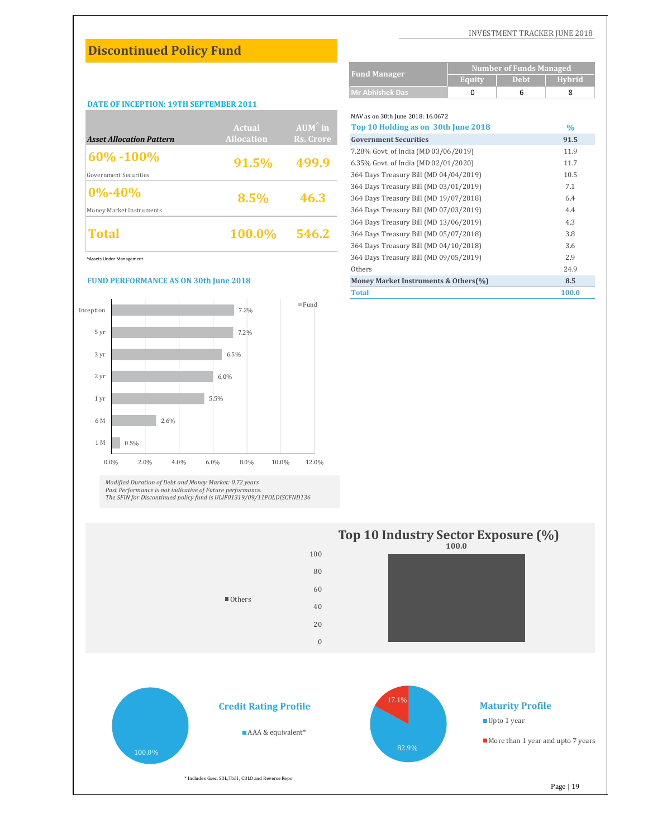**Equity** Debt Hybrid

# **Discontinued Policy Fund**

#### **DATE OF INCEPTION: 19TH SEPTEMBER 2011**

|                                 |                   |                   | $NAV$ as on 30th june 2018: 10.0072    |      |
|---------------------------------|-------------------|-------------------|----------------------------------------|------|
|                                 | <b>Actual</b>     | $AUM^{\wedge}$ in | Top 10 Holding as on 30th June 2018    | $\%$ |
| <b>Asset Allocation Pattern</b> | <b>Allocation</b> | Rs. Crore         | <b>Government Securities</b>           | 91.5 |
| $ 60\% - 100\% $                |                   |                   | 7.28% Govt. of India (MD 03/06/2019)   | 11.9 |
|                                 | 91.5%             | 499.9             | 6.35% Govt. of India (MD 02/01/2020)   | 11.7 |
| Government Securities           |                   |                   | 364 Days Treasury Bill (MD 04/04/2019) | 10.5 |
| $ 0\% - 40\% $                  |                   |                   | 364 Days Treasury Bill (MD 03/01/2019) | 7.1  |
|                                 | 8.5%              | 46.3              | 364 Days Treasury Bill (MD 19/07/2018) | 6.4  |
| Money Market Instruments        |                   |                   | 364 Days Treasury Bill (MD 07/03/2019) | 4.4  |
|                                 |                   |                   | 364 Days Treasury Bill (MD 13/06/2019) | 4.3  |
| Total                           | 100.0%            | 546.2             | 364 Days Treasury Bill (MD 05/07/2018) | 3.8  |
|                                 |                   |                   | 364 Days Treasury Bill (MD 04/10/2018) | 3.6  |

^Assets Under Management

#### **FUND PERFORMANCE AS ON 30th June 2018**



Modified Duration of Debt and Money Market: 0.72 years<br>Past Performance is not indicative of Future performance.<br>The SFIN for Discontinued policy fund is ULIF01319/09/11POLDISCFND136

| <b>Mr Abhishek Das</b>                 | 0 | 6 | 8             |
|----------------------------------------|---|---|---------------|
|                                        |   |   |               |
| NAV as on 30th June 2018: 16.0672      |   |   |               |
| Top 10 Holding as on 30th June 2018    |   |   | $\frac{0}{0}$ |
| <b>Government Securities</b>           |   |   | 91.5          |
| 7.28% Govt. of India (MD 03/06/2019)   |   |   | 11.9          |
| 6.35% Govt. of India (MD 02/01/2020)   |   |   | 11.7          |
| 364 Days Treasury Bill (MD 04/04/2019) |   |   | 10.5          |
| 364 Days Treasury Bill (MD 03/01/2019) |   |   | 7.1           |
| 364 Days Treasury Bill (MD 19/07/2018) |   |   | 6.4           |
| 364 Days Treasury Bill (MD 07/03/2019) |   |   | 4.4           |
| 364 Days Treasury Bill (MD 13/06/2019) |   |   | 4.3           |
| 364 Days Treasury Bill (MD 05/07/2018) |   |   | 3.8           |
| 364 Days Treasury Bill (MD 04/10/2018) |   |   | 3.6           |
| 364 Days Treasury Bill (MD 09/05/2019) |   |   | 2.9           |
| Others                                 |   |   | 24.9          |
| Money Market Instruments & Others(%)   |   |   | 8.5           |
| <b>Total</b>                           |   |   | 100.0         |

**Fund Manager Number of Funds Managed**



\* Includes Gsec, SDL,Tbill , CBLO and Reverse Repo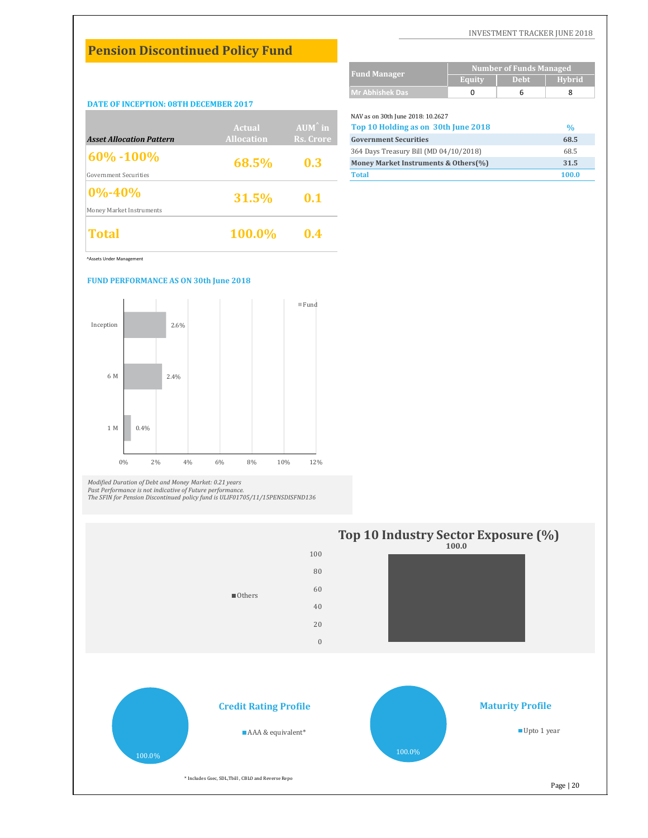**Equity Debt Hybrid**

# **Pension Discontinued Policy Fund**

#### **DATE OF INCEPTION: 08TH DECEMBER 2017**

| Total                           | 100.0%            | 0.4               |                                        |               |
|---------------------------------|-------------------|-------------------|----------------------------------------|---------------|
| Money Market Instruments        |                   |                   |                                        |               |
| $ 0\% - 40\% $                  | 31.5%             | 0.1               |                                        |               |
| Government Securities           |                   |                   | <b>Total</b>                           | 100.0         |
|                                 | 68.5%             | 0.3               | Money Market Instruments & Others(%)   | 31.5          |
| $ 60\% - 100\% $                |                   |                   | 364 Days Treasury Bill (MD 04/10/2018) | 68.5          |
| <b>Asset Allocation Pattern</b> | <b>Allocation</b> | Rs. Crore         | <b>Government Securities</b>           | 68.5          |
|                                 | <b>Actual</b>     | $AUM^{\wedge}$ in | Top 10 Holding as on 30th June 2018    | $\frac{0}{0}$ |
|                                 |                   |                   | NAV as on 30th June 2018: 10.2627      |               |

| Mr Abhishek Das                        | 6 | 8             |
|----------------------------------------|---|---------------|
|                                        |   |               |
| NAV as on 30th June 2018: 10.2627      |   |               |
| Top 10 Holding as on 30th June 2018    |   | $\frac{0}{0}$ |
| <b>Government Securities</b>           |   | 68.5          |
| 364 Days Treasury Bill (MD 04/10/2018) |   | 68.5          |
| Money Market Instruments & Others(%)   |   | 31.5          |
| <b>Total</b>                           |   | 100.0         |

**Fund Manager Number of Funds Managed**

^Assets Under Management

## **FUND PERFORMANCE AS ON 30th June 2018**



Modified Duration of Debt and Money Market: 0.21 years<br>Past Performance is not indicative of Future performance.<br>The SFIN for Pension Discontinued policy fund is ULIF01705/11/15PENSDISFND136

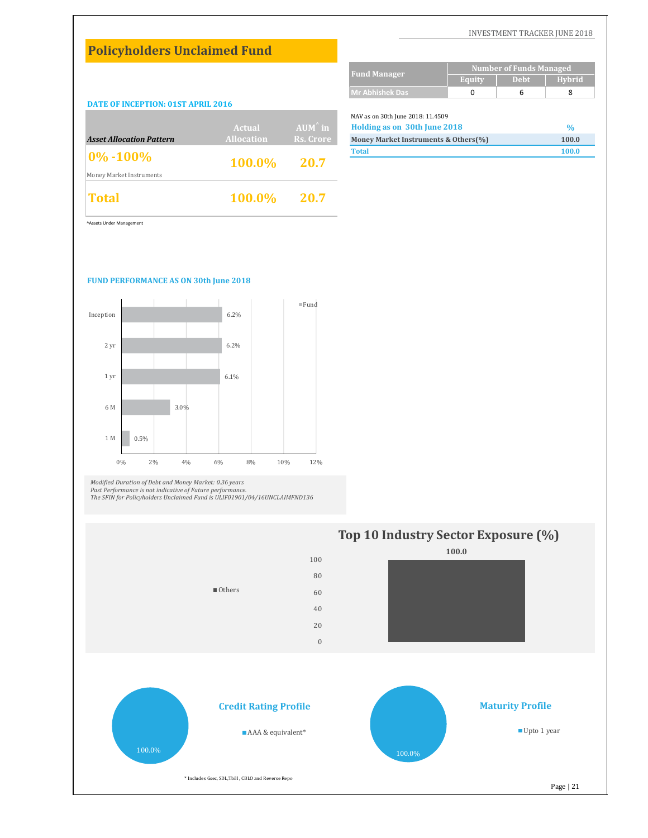# **Policyholders Unclaimed Fund**

|                                           |                   |                   | <b>Mr Abhishek Das</b>               | 0 | 6 | 8             |
|-------------------------------------------|-------------------|-------------------|--------------------------------------|---|---|---------------|
| <b>DATE OF INCEPTION: 01ST APRIL 2016</b> |                   |                   |                                      |   |   |               |
|                                           |                   |                   | NAV as on 30th June 2018: 11.4509    |   |   |               |
|                                           | Actual            | $AUM^{\hat{}}$ in | Holding as on 30th June 2018         |   |   | $\frac{0}{0}$ |
| <b>Asset Allocation Pattern</b>           | <b>Allocation</b> | Rs. Crore         | Money Market Instruments & Others(%) |   |   | 100.0         |
| $ 0\% - 100\%$                            | 100.0%            | 20.7              | <b>Total</b>                         |   |   | 100.0         |
| Money Market Instruments                  |                   |                   |                                      |   |   |               |
| Total                                     | $100.0\%$ 20.7    |                   |                                      |   |   |               |

| <b>Fund Manager</b>                           | <b>Number of Funds Managed</b> |             |        |  |  |  |
|-----------------------------------------------|--------------------------------|-------------|--------|--|--|--|
|                                               | <b>Equity</b>                  | <b>Debt</b> | Hybrid |  |  |  |
| <b>Mr Abhishek Das</b>                        | 0                              | 6           | 8      |  |  |  |
|                                               |                                |             |        |  |  |  |
| NAV as on 30th June 2018: 11.4509             |                                |             |        |  |  |  |
| Holding as on 30th June 2018<br>$\frac{0}{0}$ |                                |             |        |  |  |  |
| Money Market Instruments & Others(%)<br>100.0 |                                |             |        |  |  |  |
| <b>Total</b><br>100.0                         |                                |             |        |  |  |  |

^Assets Under Management

## **FUND PERFORMANCE AS ON 30th June 2018**



Modified Duration of Debt and Money Market: 0.36 years<br>Past Performance is not indicative of Future performance.<br>The SFIN for Policyholders Unclaimed Fund is ULIF01901/04/16UNCLAIMFND136

100.0%



\* Includes Gsec, SDL,Tbill , CBLO and Reverse Repo